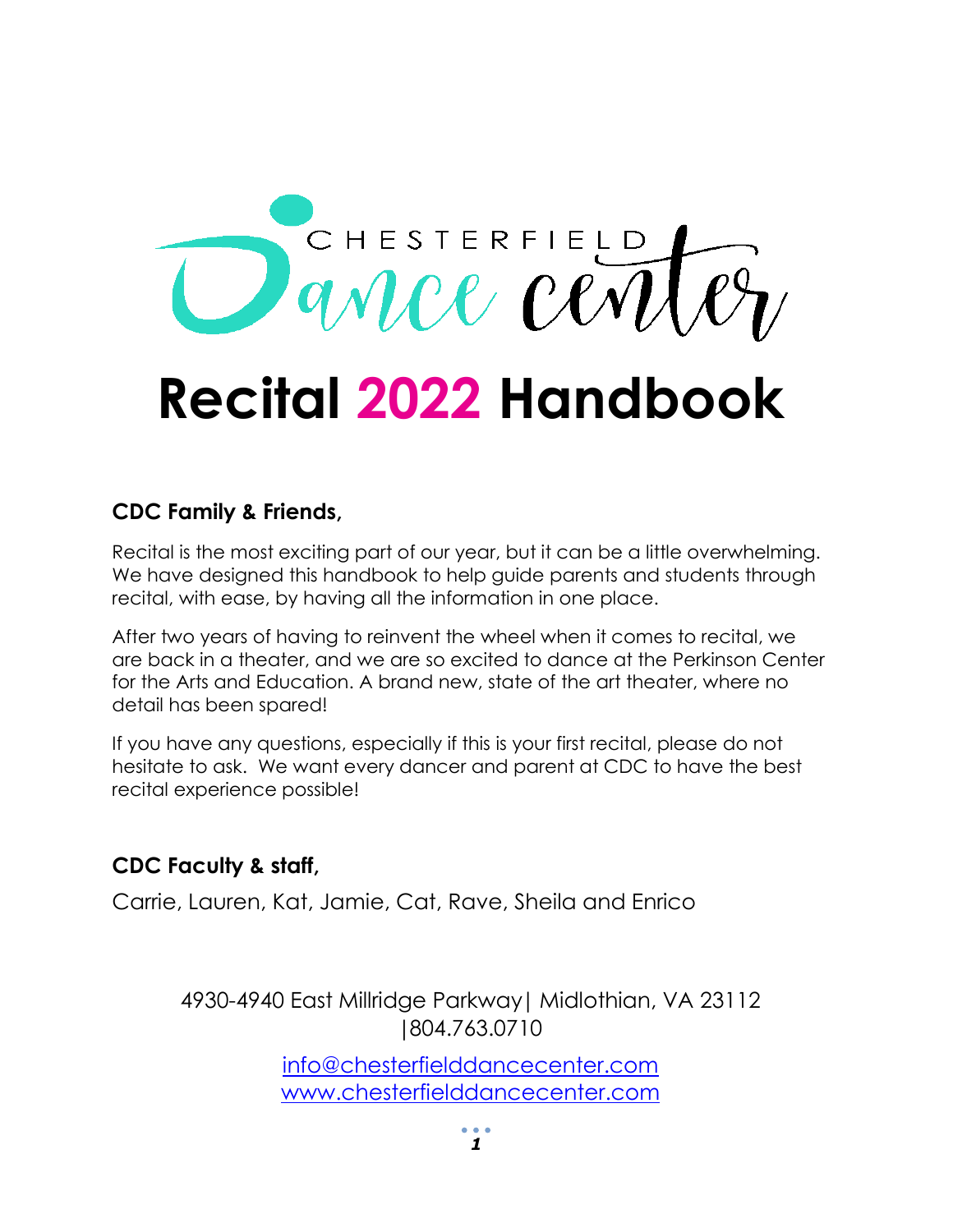

# **Recital 2022 Handbook**

#### **CDC Family & Friends,**

Recital is the most exciting part of our year, but it can be a little overwhelming. We have designed this handbook to help guide parents and students through recital, with ease, by having all the information in one place.

After two years of having to reinvent the wheel when it comes to recital, we are back in a theater, and we are so excited to dance at the Perkinson Center for the Arts and Education. A brand new, state of the art theater, where no detail has been spared!

If you have any questions, especially if this is your first recital, please do not hesitate to ask. We want every dancer and parent at CDC to have the best recital experience possible!

### **CDC Faculty & staff,**

Carrie, Lauren, Kat, Jamie, Cat, Rave, Sheila and Enrico

4930-4940 East Millridge Parkway | Midlothian, VA 23112 │804.763.0710

> [info@chesterfielddancecenter.com](mailto:info@chesterfielddancecenter.com) [www.chesterfielddancecenter.com](http://www.chesterfielddancecenter.com/)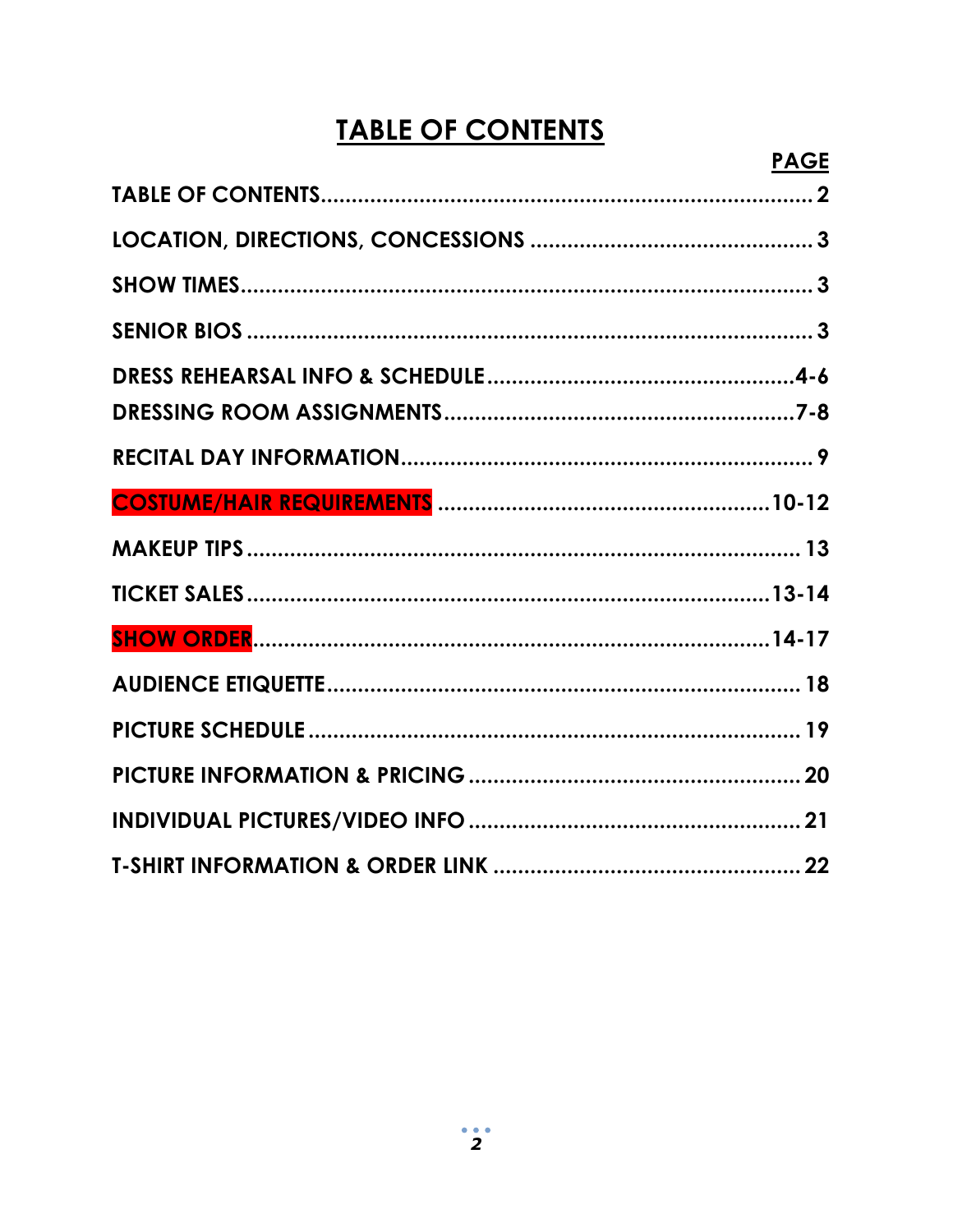### **TABLE OF CONTENTS**

| <b>PAGE</b> |
|-------------|
|             |
|             |
|             |
|             |
|             |
|             |
|             |
|             |
|             |
|             |
|             |
|             |
|             |
|             |
|             |
|             |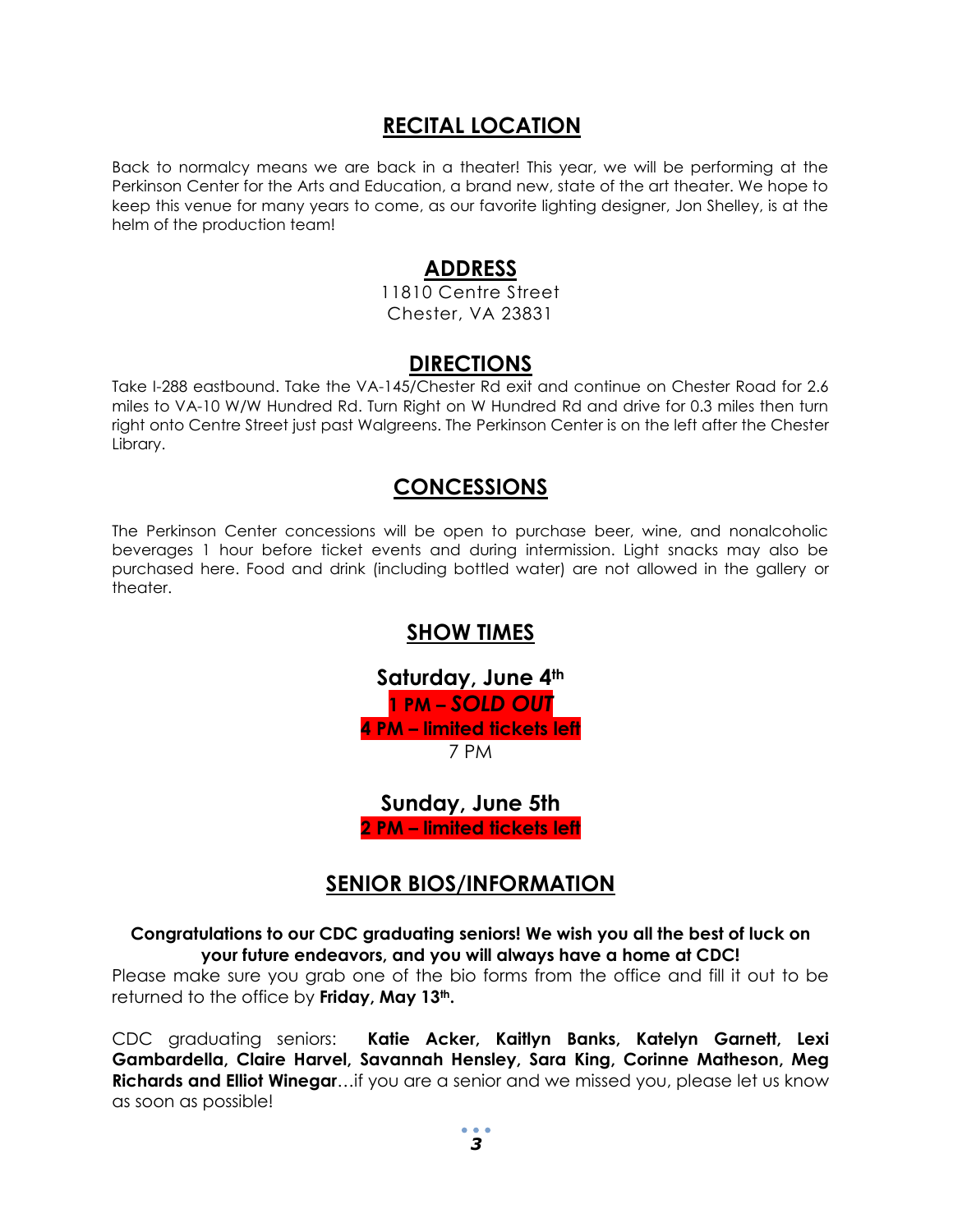#### **RECITAL LOCATION**

Back to normalcy means we are back in a theater! This year, we will be performing at the Perkinson Center for the Arts and Education, a brand new, state of the art theater. We hope to keep this venue for many years to come, as our favorite lighting designer, Jon Shelley, is at the helm of the production team!

#### **ADDRESS**

11810 Centre Street Chester, VA 23831

#### **DIRECTIONS**

Take I-288 eastbound. Take the VA-145/Chester Rd exit and continue on Chester Road for 2.6 miles to VA-10 W/W Hundred Rd. Turn Right on W Hundred Rd and drive for 0.3 miles then turn right onto Centre Street just past Walgreens. The Perkinson Center is on the left after the Chester Library.

#### **CONCESSIONS**

The Perkinson Center concessions will be open to purchase beer, wine, and nonalcoholic beverages 1 hour before ticket events and during intermission. Light snacks may also be purchased here. Food and drink (including bottled water) are not allowed in the gallery or theater.

#### **SHOW TIMES**

**Saturday, June 4th 1 PM –** *SOLD OUT* **4 PM – limited tickets left** 7 PM

**Sunday, June 5th 2 PM – limited tickets left**

#### **SENIOR BIOS/INFORMATION**

#### **Congratulations to our CDC graduating seniors! We wish you all the best of luck on your future endeavors, and you will always have a home at CDC!**

Please make sure you grab one of the bio forms from the office and fill it out to be returned to the office by **Friday, May 13th.**

CDC graduating seniors: **Katie Acker, Kaitlyn Banks, Katelyn Garnett, Lexi Gambardella, Claire Harvel, Savannah Hensley, Sara King, Corinne Matheson, Meg Richards and Elliot Winegar**…if you are a senior and we missed you, please let us know as soon as possible!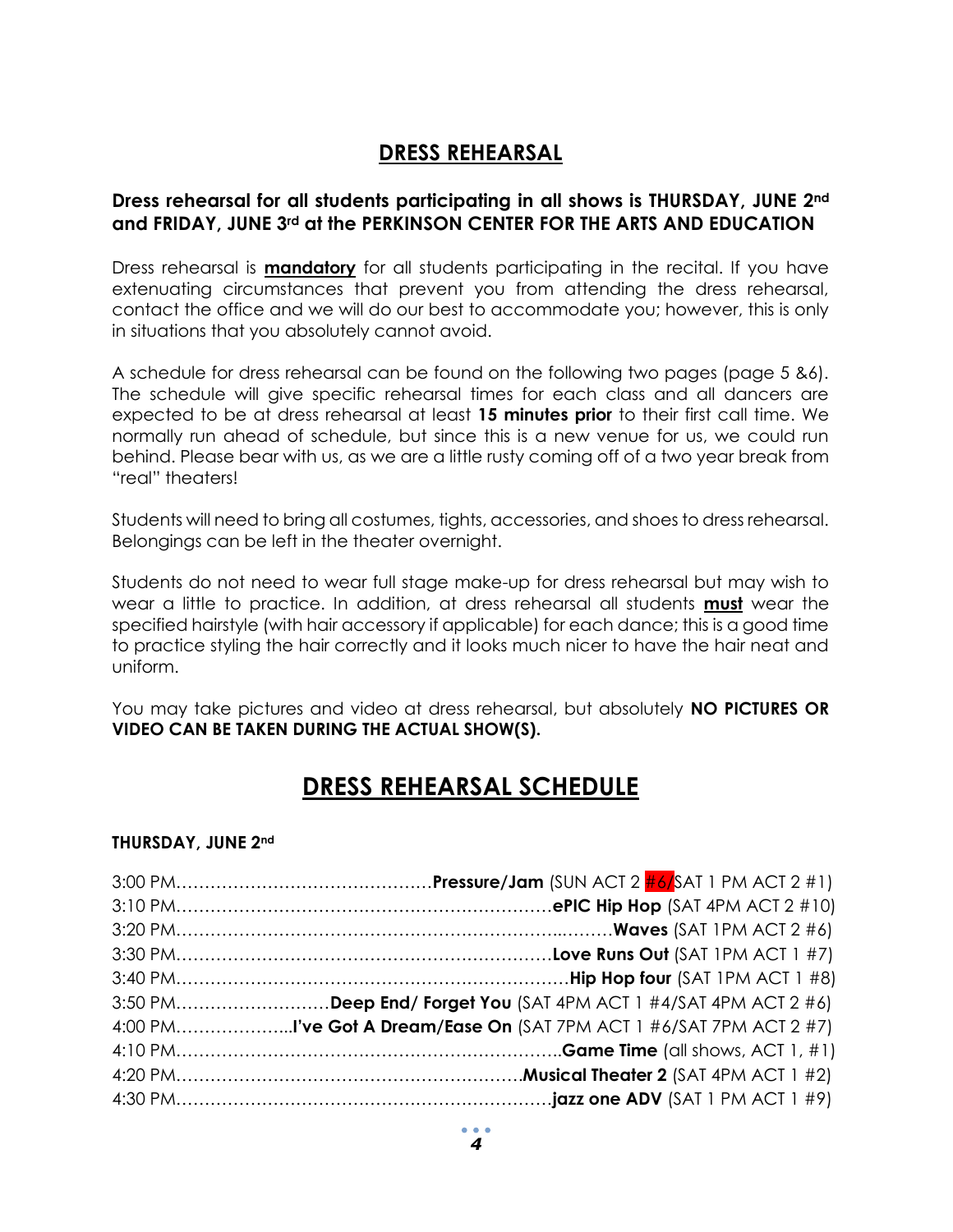#### **DRESS REHEARSAL**

#### **Dress rehearsal for all students participating in all shows is THURSDAY, JUNE 2nd and FRIDAY, JUNE 3rd at the PERKINSON CENTER FOR THE ARTS AND EDUCATION**

Dress rehearsal is **mandatory** for all students participating in the recital. If you have extenuating circumstances that prevent you from attending the dress rehearsal, contact the office and we will do our best to accommodate you; however, this is only in situations that you absolutely cannot avoid.

A schedule for dress rehearsal can be found on the following two pages (page 5 &6). The schedule will give specific rehearsal times for each class and all dancers are expected to be at dress rehearsal at least **15 minutes prior** to their first call time. We normally run ahead of schedule, but since this is a new venue for us, we could run behind. Please bear with us, as we are a little rusty coming off of a two year break from "real" theaters!

Students will need to bring all costumes, tights, accessories, and shoes to dress rehearsal. Belongings can be left in the theater overnight.

Students do not need to wear full stage make-up for dress rehearsal but may wish to wear a little to practice. In addition, at dress rehearsal all students **must** wear the specified hairstyle (with hair accessory if applicable) for each dance; this is a good time to practice styling the hair correctly and it looks much nicer to have the hair neat and uniform.

You may take pictures and video at dress rehearsal, but absolutely **NO PICTURES OR VIDEO CAN BE TAKEN DURING THE ACTUAL SHOW(S).** 

### **DRESS REHEARSAL SCHEDULE**

#### **THURSDAY, JUNE 2nd**

| 3:50 PM <b>Deep End/ Forget You</b> (SAT 4PM ACT 1 #4/SAT 4PM ACT 2 #6) |
|-------------------------------------------------------------------------|
|                                                                         |
|                                                                         |
|                                                                         |
|                                                                         |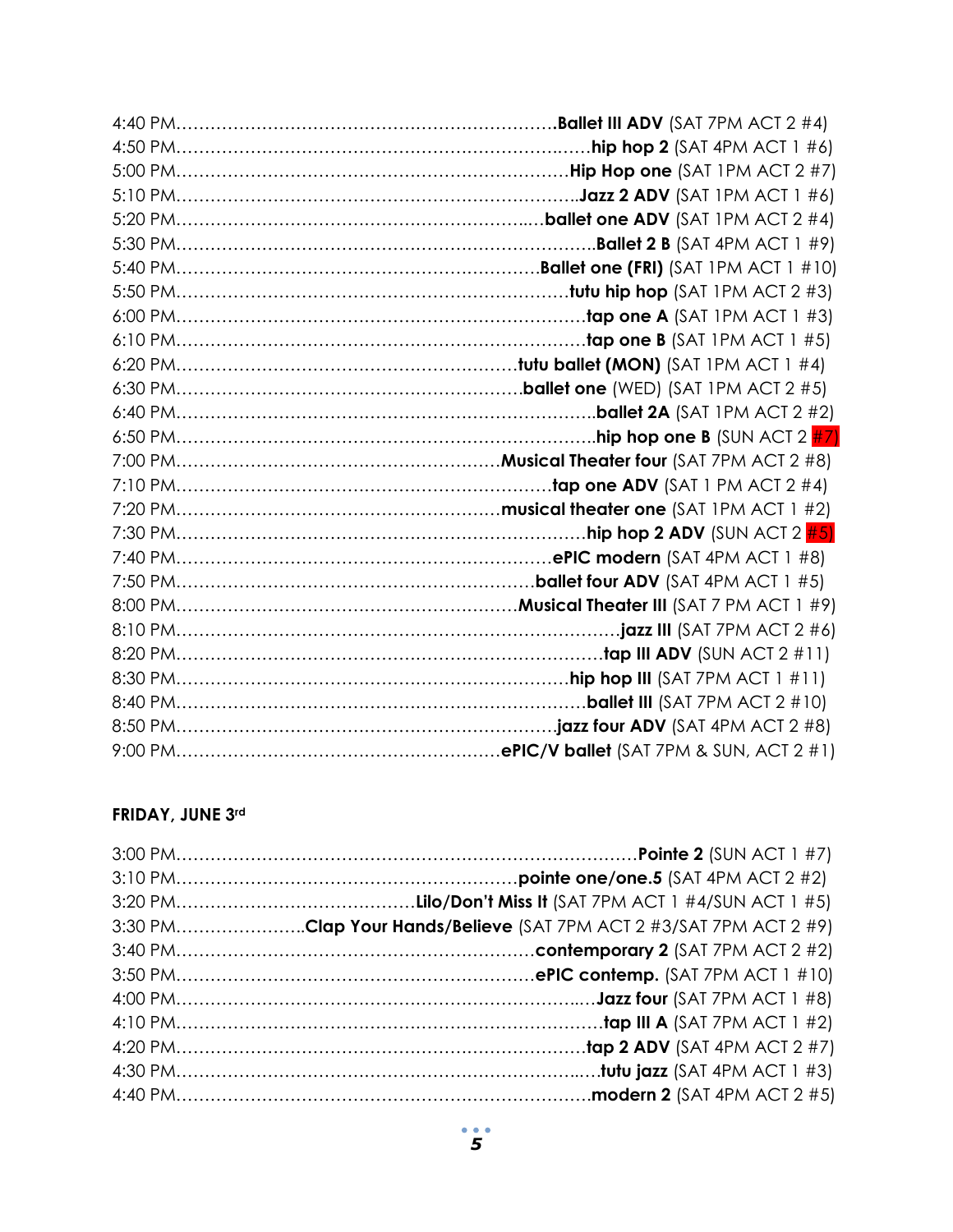| 7:30 PM……………………………………………………………hip hop 2 ADV (SUN ACT 2 <mark>#5)</mark> |
|-------------------------------------------------------------------------|
|                                                                         |
|                                                                         |
|                                                                         |
|                                                                         |
|                                                                         |
|                                                                         |
|                                                                         |
|                                                                         |
|                                                                         |

#### **FRIDAY, JUNE 3rd**

| 3:30 PMClap Your Hands/Believe (SAT 7PM ACT 2 #3/SAT 7PM ACT 2 #9) |
|--------------------------------------------------------------------|
|                                                                    |
|                                                                    |
|                                                                    |
|                                                                    |
|                                                                    |
|                                                                    |
|                                                                    |
|                                                                    |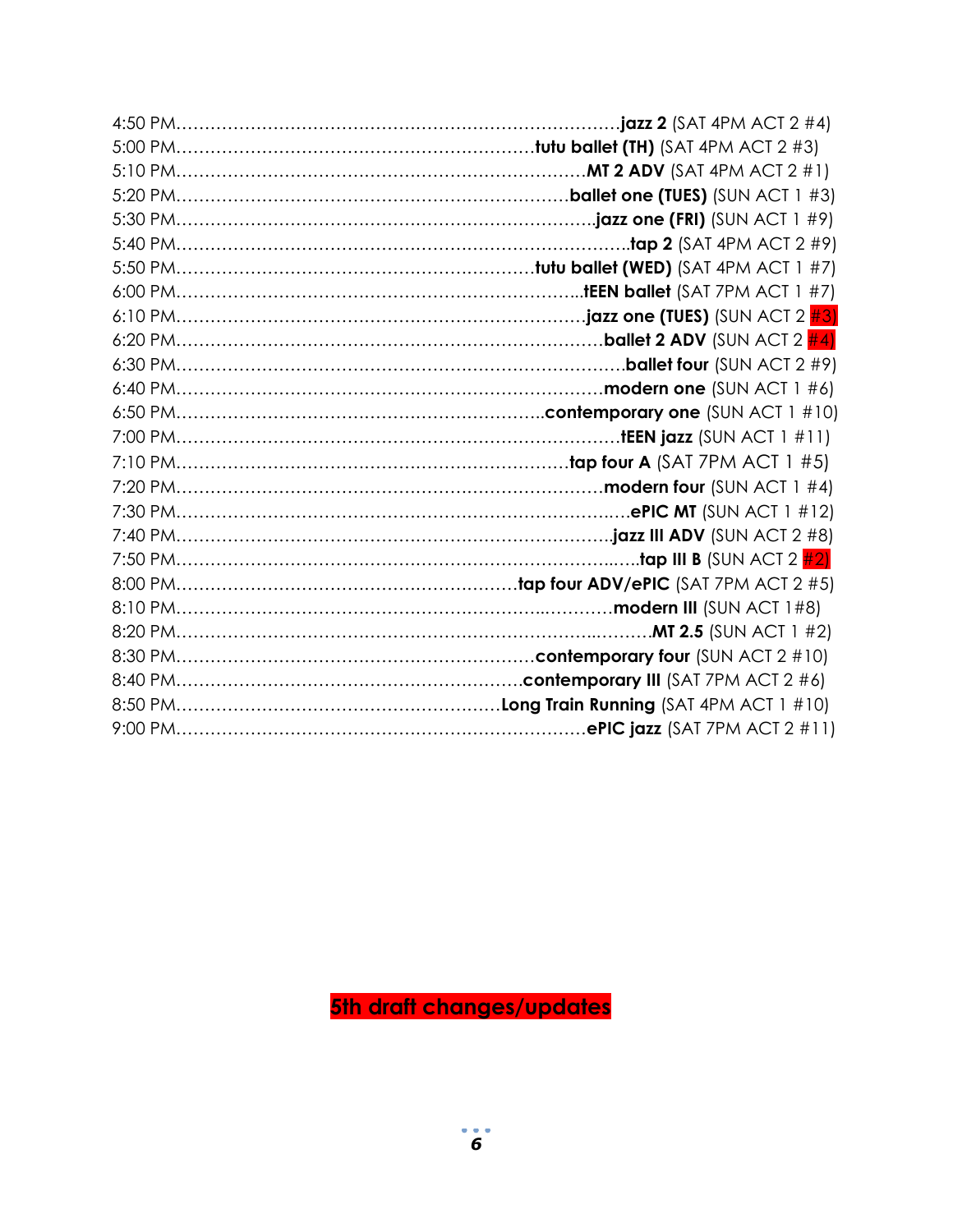| 6:10 PM……………………………………………………………… <b>jazz one (TUES)</b> (SUN ACT 2 <mark>#3)</mark> |
|------------------------------------------------------------------------------------|
|                                                                                    |
|                                                                                    |
|                                                                                    |
|                                                                                    |
|                                                                                    |
|                                                                                    |
|                                                                                    |
|                                                                                    |
|                                                                                    |
|                                                                                    |
|                                                                                    |
|                                                                                    |
|                                                                                    |
|                                                                                    |
|                                                                                    |
|                                                                                    |
|                                                                                    |

**5th draft changes/updates**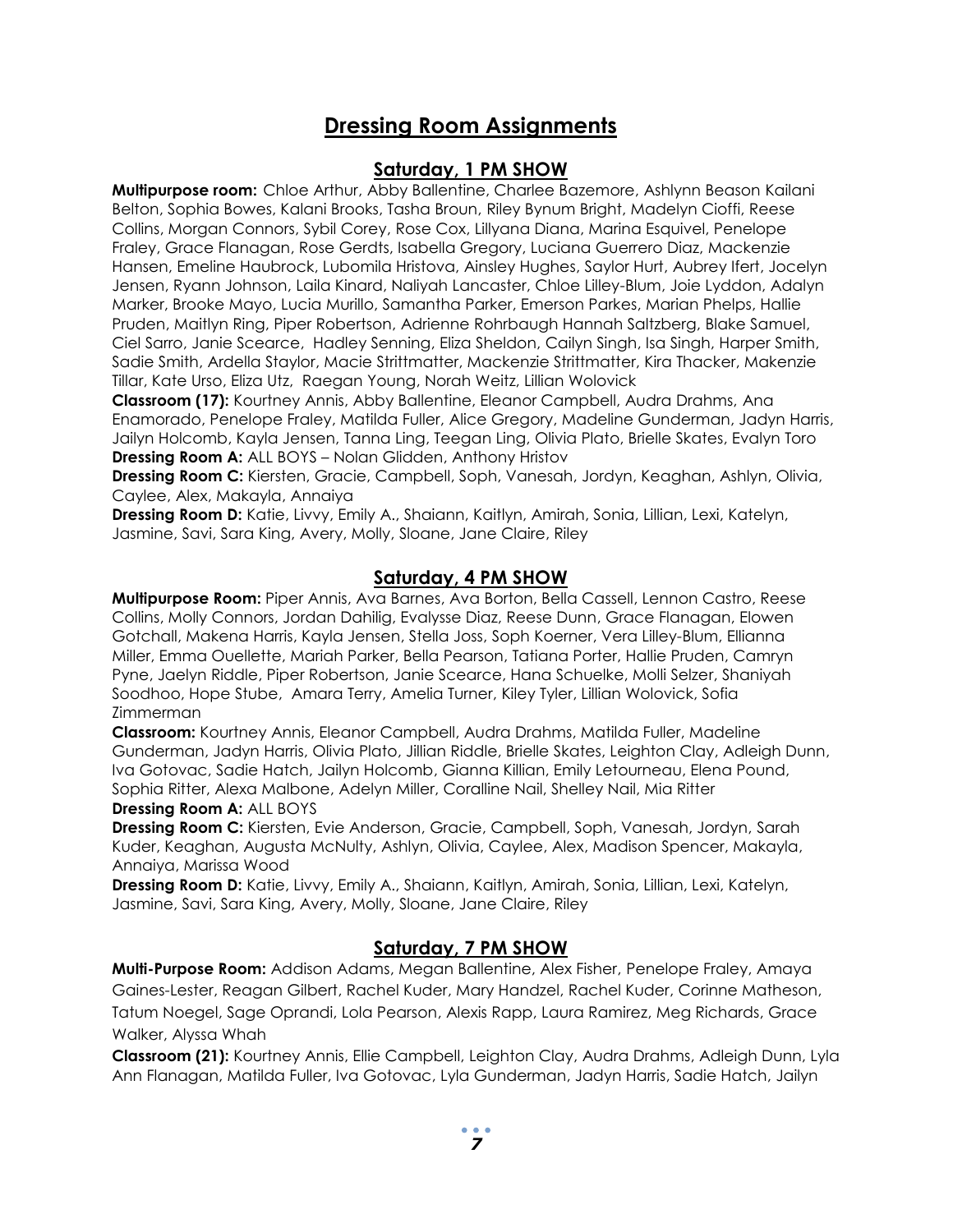#### **Dressing Room Assignments**

#### **Saturday, 1 PM SHOW**

**Multipurpose room:** Chloe Arthur, Abby Ballentine, Charlee Bazemore, Ashlynn Beason Kailani Belton, Sophia Bowes, Kalani Brooks, Tasha Broun, Riley Bynum Bright, Madelyn Cioffi, Reese Collins, Morgan Connors, Sybil Corey, Rose Cox, Lillyana Diana, Marina Esquivel, Penelope Fraley, Grace Flanagan, Rose Gerdts, Isabella Gregory, Luciana Guerrero Diaz, Mackenzie Hansen, Emeline Haubrock, Lubomila Hristova, Ainsley Hughes, Saylor Hurt, Aubrey Ifert, Jocelyn Jensen, Ryann Johnson, Laila Kinard, Naliyah Lancaster, Chloe Lilley-Blum, Joie Lyddon, Adalyn Marker, Brooke Mayo, Lucia Murillo, Samantha Parker, Emerson Parkes, Marian Phelps, Hallie Pruden, Maitlyn Ring, Piper Robertson, Adrienne Rohrbaugh Hannah Saltzberg, Blake Samuel, Ciel Sarro, Janie Scearce, Hadley Senning, Eliza Sheldon, Cailyn Singh, Isa Singh, Harper Smith, Sadie Smith, Ardella Staylor, Macie Strittmatter, Mackenzie Strittmatter, Kira Thacker, Makenzie Tillar, Kate Urso, Eliza Utz, Raegan Young, Norah Weitz, Lillian Wolovick

**Classroom (17):** Kourtney Annis, Abby Ballentine, Eleanor Campbell, Audra Drahms, Ana Enamorado, Penelope Fraley, Matilda Fuller, Alice Gregory, Madeline Gunderman, Jadyn Harris, Jailyn Holcomb, Kayla Jensen, Tanna Ling, Teegan Ling, Olivia Plato, Brielle Skates, Evalyn Toro **Dressing Room A: ALL BOYS – Nolan Glidden, Anthony Hristov** 

**Dressing Room C:** Kiersten, Gracie, Campbell, Soph, Vanesah, Jordyn, Keaghan, Ashlyn, Olivia, Caylee, Alex, Makayla, Annaiya

**Dressing Room D:** Katie, Livvy, Emily A., Shaiann, Kaitlyn, Amirah, Sonia, Lillian, Lexi, Katelyn, Jasmine, Savi, Sara King, Avery, Molly, Sloane, Jane Claire, Riley

#### **Saturday, 4 PM SHOW**

**Multipurpose Room:** Piper Annis, Ava Barnes, Ava Borton, Bella Cassell, Lennon Castro, Reese Collins, Molly Connors, Jordan Dahilig, Evalysse Diaz, Reese Dunn, Grace Flanagan, Elowen Gotchall, Makena Harris, Kayla Jensen, Stella Joss, Soph Koerner, Vera Lilley-Blum, Ellianna Miller, Emma Ouellette, Mariah Parker, Bella Pearson, Tatiana Porter, Hallie Pruden, Camryn Pyne, Jaelyn Riddle, Piper Robertson, Janie Scearce, Hana Schuelke, Molli Selzer, Shaniyah Soodhoo, Hope Stube, Amara Terry, Amelia Turner, Kiley Tyler, Lillian Wolovick, Sofia Zimmerman

**Classroom:** Kourtney Annis, Eleanor Campbell, Audra Drahms, Matilda Fuller, Madeline Gunderman, Jadyn Harris, Olivia Plato, Jillian Riddle, Brielle Skates, Leighton Clay, Adleigh Dunn, Iva Gotovac, Sadie Hatch, Jailyn Holcomb, Gianna Killian, Emily Letourneau, Elena Pound, Sophia Ritter, Alexa Malbone, Adelyn Miller, Coralline Nail, Shelley Nail, Mia Ritter

#### **Dressing Room A:** ALL BOYS

**Dressing Room C:** Kiersten, Evie Anderson, Gracie, Campbell, Soph, Vanesah, Jordyn, Sarah Kuder, Keaghan, Augusta McNulty, Ashlyn, Olivia, Caylee, Alex, Madison Spencer, Makayla, Annaiya, Marissa Wood

**Dressing Room D:** Katie, Livvy, Emily A., Shaiann, Kaitlyn, Amirah, Sonia, Lillian, Lexi, Katelyn, Jasmine, Savi, Sara King, Avery, Molly, Sloane, Jane Claire, Riley

#### **Saturday, 7 PM SHOW**

**Multi-Purpose Room:** Addison Adams, Megan Ballentine, Alex Fisher, Penelope Fraley, Amaya Gaines-Lester, Reagan Gilbert, Rachel Kuder, Mary Handzel, Rachel Kuder, Corinne Matheson, Tatum Noegel, Sage Oprandi, Lola Pearson, Alexis Rapp, Laura Ramirez, Meg Richards, Grace Walker, Alyssa Whah

**Classroom (21):** Kourtney Annis, Ellie Campbell, Leighton Clay, Audra Drahms, Adleigh Dunn, Lyla Ann Flanagan, Matilda Fuller, Iva Gotovac, Lyla Gunderman, Jadyn Harris, Sadie Hatch, Jailyn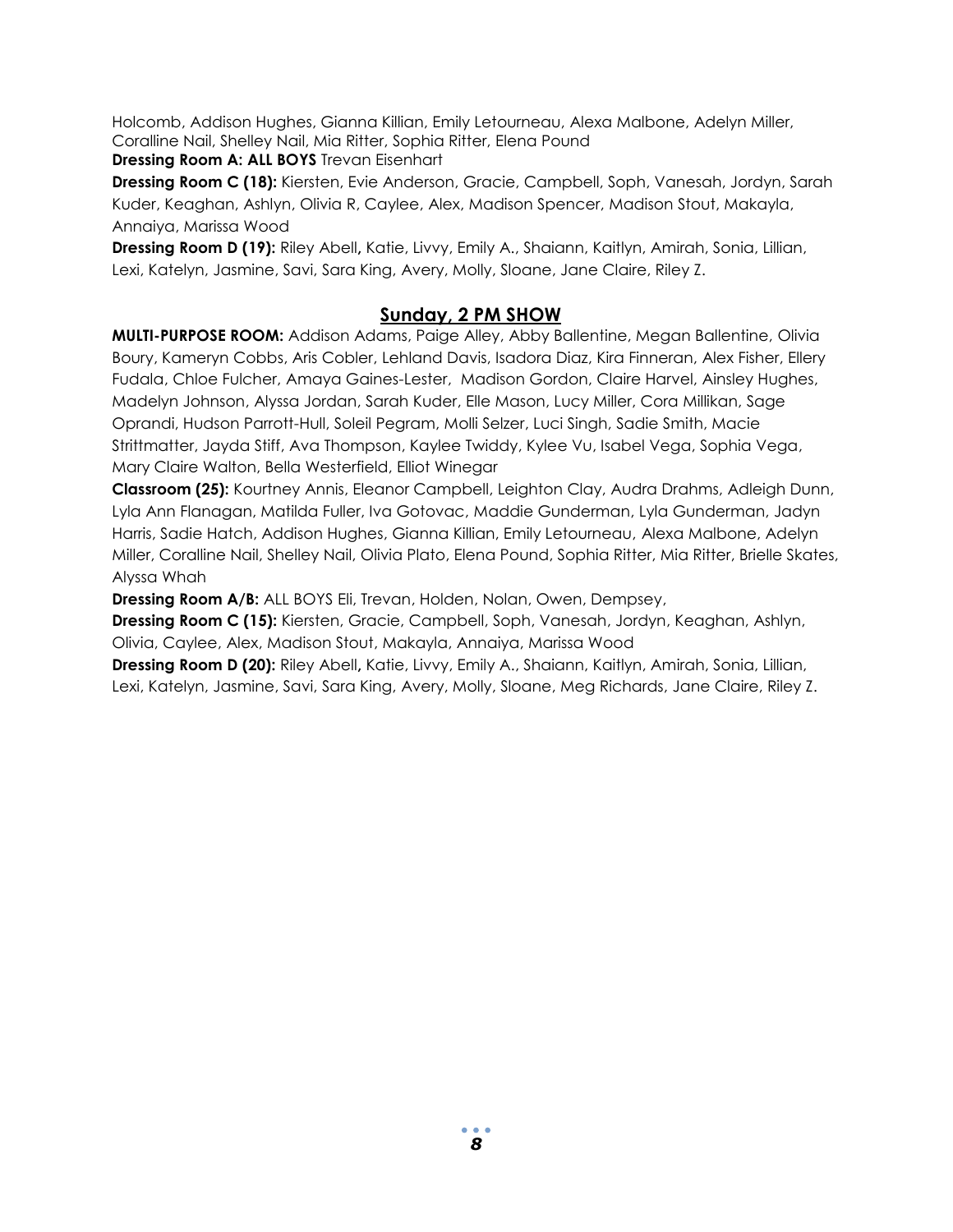Holcomb, Addison Hughes, Gianna Killian, Emily Letourneau, Alexa Malbone, Adelyn Miller, Coralline Nail, Shelley Nail, Mia Ritter, Sophia Ritter, Elena Pound

**Dressing Room A: ALL BOYS** Trevan Eisenhart

**Dressing Room C (18):** Kiersten, Evie Anderson, Gracie, Campbell, Soph, Vanesah, Jordyn, Sarah Kuder, Keaghan, Ashlyn, Olivia R, Caylee, Alex, Madison Spencer, Madison Stout, Makayla, Annaiya, Marissa Wood

**Dressing Room D (19):** Riley Abell**,** Katie, Livvy, Emily A., Shaiann, Kaitlyn, Amirah, Sonia, Lillian, Lexi, Katelyn, Jasmine, Savi, Sara King, Avery, Molly, Sloane, Jane Claire, Riley Z.

#### **Sunday, 2 PM SHOW**

**MULTI-PURPOSE ROOM:** Addison Adams, Paige Alley, Abby Ballentine, Megan Ballentine, Olivia Boury, Kameryn Cobbs, Aris Cobler, Lehland Davis, Isadora Diaz, Kira Finneran, Alex Fisher, Ellery Fudala, Chloe Fulcher, Amaya Gaines-Lester, Madison Gordon, Claire Harvel, Ainsley Hughes, Madelyn Johnson, Alyssa Jordan, Sarah Kuder, Elle Mason, Lucy Miller, Cora Millikan, Sage Oprandi, Hudson Parrott-Hull, Soleil Pegram, Molli Selzer, Luci Singh, Sadie Smith, Macie Strittmatter, Jayda Stiff, Ava Thompson, Kaylee Twiddy, Kylee Vu, Isabel Vega, Sophia Vega, Mary Claire Walton, Bella Westerfield, Elliot Winegar

**Classroom (25):** Kourtney Annis, Eleanor Campbell, Leighton Clay, Audra Drahms, Adleigh Dunn, Lyla Ann Flanagan, Matilda Fuller, Iva Gotovac, Maddie Gunderman, Lyla Gunderman, Jadyn Harris, Sadie Hatch, Addison Hughes, Gianna Killian, Emily Letourneau, Alexa Malbone, Adelyn Miller, Coralline Nail, Shelley Nail, Olivia Plato, Elena Pound, Sophia Ritter, Mia Ritter, Brielle Skates, Alyssa Whah

**Dressing Room A/B:** ALL BOYS Eli, Trevan, Holden, Nolan, Owen, Dempsey,

**Dressing Room C (15):** Kiersten, Gracie, Campbell, Soph, Vanesah, Jordyn, Keaghan, Ashlyn, Olivia, Caylee, Alex, Madison Stout, Makayla, Annaiya, Marissa Wood

**Dressing Room D (20):** Riley Abell**,** Katie, Livvy, Emily A., Shaiann, Kaitlyn, Amirah, Sonia, Lillian, Lexi, Katelyn, Jasmine, Savi, Sara King, Avery, Molly, Sloane, Meg Richards, Jane Claire, Riley Z.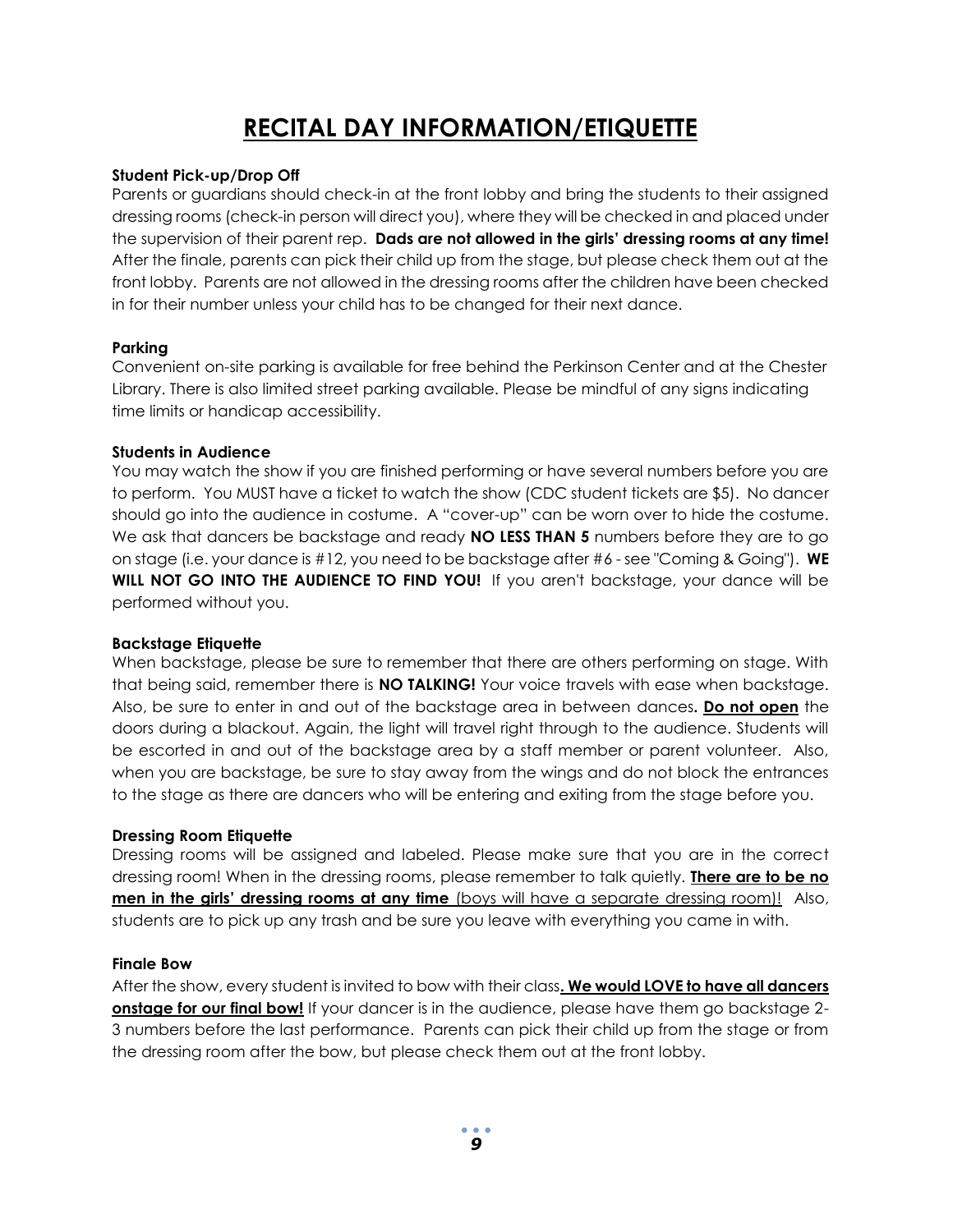### **RECITAL DAY INFORMATION/ETIQUETTE**

#### **Student Pick-up/Drop Off**

Parents or guardians should check-in at the front lobby and bring the students to their assigned dressing rooms (check-in person will direct you), where they will be checked in and placed under the supervision of their parent rep. **Dads are not allowed in the girls' dressing rooms at any time!** After the finale, parents can pick their child up from the stage, but please check them out at the front lobby. Parents are not allowed in the dressing rooms after the children have been checked in for their number unless your child has to be changed for their next dance.

#### **Parking**

Convenient on-site parking is available for free behind the Perkinson Center and at the Chester Library. There is also limited street parking available. Please be mindful of any signs indicating time limits or handicap accessibility.

#### **Students in Audience**

You may watch the show if you are finished performing or have several numbers before you are to perform. You MUST have a ticket to watch the show (CDC student tickets are \$5). No dancer should go into the audience in costume. A "cover-up" can be worn over to hide the costume. We ask that dancers be backstage and ready **NO LESS THAN 5** numbers before they are to go on stage (i.e. your dance is #12, you need to be backstage after #6 - see "Coming & Going"). **WE WILL NOT GO INTO THE AUDIENCE TO FIND YOU!** If you aren't backstage, your dance will be performed without you.

#### **Backstage Etiquette**

When backstage, please be sure to remember that there are others performing on stage. With that being said, remember there is **NO TALKING!** Your voice travels with ease when backstage. Also, be sure to enter in and out of the backstage area in between dances**. Do not open** the doors during a blackout. Again, the light will travel right through to the audience. Students will be escorted in and out of the backstage area by a staff member or parent volunteer. Also, when you are backstage, be sure to stay away from the wings and do not block the entrances to the stage as there are dancers who will be entering and exiting from the stage before you.

#### **Dressing Room Etiquette**

Dressing rooms will be assigned and labeled. Please make sure that you are in the correct dressing room! When in the dressing rooms, please remember to talk quietly. **There are to be no men in the girls' dressing rooms at any time** (boys will have a separate dressing room)! Also, students are to pick up any trash and be sure you leave with everything you came in with.

#### **Finale Bow**

After the show, every student is invited to bow with their class**. We would LOVE to have all dancers onstage for our final bow!** If your dancer is in the audience, please have them go backstage 2-3 numbers before the last performance. Parents can pick their child up from the stage or from the dressing room after the bow, but please check them out at the front lobby.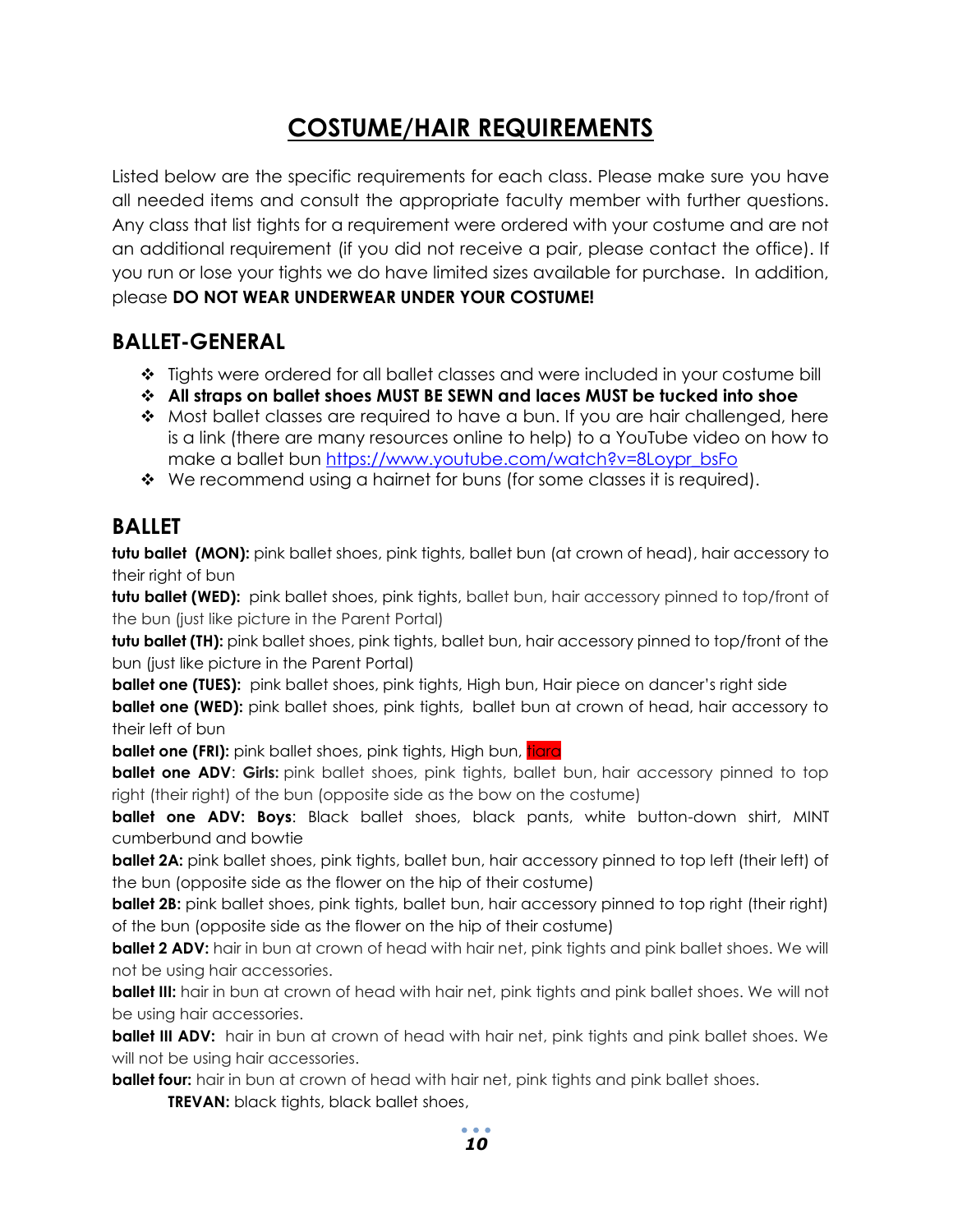### **COSTUME/HAIR REQUIREMENTS**

Listed below are the specific requirements for each class. Please make sure you have all needed items and consult the appropriate faculty member with further questions. Any class that list tights for a requirement were ordered with your costume and are not an additional requirement (if you did not receive a pair, please contact the office). If you run or lose your tights we do have limited sizes available for purchase. In addition, please **DO NOT WEAR UNDERWEAR UNDER YOUR COSTUME!**

#### **BALLET-GENERAL**

- ❖ Tights were ordered for all ballet classes and were included in your costume bill
- ❖ **All straps on ballet shoes MUST BE SEWN and laces MUST be tucked into shoe**
- ❖ Most ballet classes are required to have a bun. If you are hair challenged, here is a link (there are many resources online to help) to a YouTube video on how to make a ballet bun [https://www.youtube.com/watch?v=8Loypr\\_bsFo](https://www.youtube.com/watch?v=8Loypr_bsFo)
- ❖ We recommend using a hairnet for buns (for some classes it is required).

#### **BALLET**

**tutu ballet (MON):** pink ballet shoes, pink tights, ballet bun (at crown of head), hair accessory to their right of bun

**tutu ballet (WED):** pink ballet shoes, pink tights, ballet bun, hair accessory pinned to top/front of the bun (just like picture in the Parent Portal)

**tutu ballet (TH):** pink ballet shoes, pink tights, ballet bun, hair accessory pinned to top/front of the bun (just like picture in the Parent Portal)

**ballet one (TUES):** pink ballet shoes, pink tights, High bun, Hair piece on dancer's right side **ballet one (WED):** pink ballet shoes, pink tights, ballet bun at crown of head, hair accessory to their left of bun

**ballet one (FRI):** pink ballet shoes, pink tights, High bun, tiara

**ballet one ADV: Girls:** pink ballet shoes, pink tights, ballet bun, hair accessory pinned to top right (their right) of the bun (opposite side as the bow on the costume)

**ballet one ADV: Boys**: Black ballet shoes, black pants, white button-down shirt, MINT cumberbund and bowtie

**ballet 2A:** pink ballet shoes, pink tights, ballet bun, hair accessory pinned to top left (their left) of the bun (opposite side as the flower on the hip of their costume)

**ballet 2B:** pink ballet shoes, pink tights, ballet bun, hair accessory pinned to top right (their right) of the bun (opposite side as the flower on the hip of their costume)

**ballet 2 ADV:** hair in bun at crown of head with hair net, pink tights and pink ballet shoes. We will not be using hair accessories.

**ballet III:** hair in bun at crown of head with hair net, pink tights and pink ballet shoes. We will not be using hair accessories.

**ballet III ADV:** hair in bun at crown of head with hair net, pink tights and pink ballet shoes. We will not be using hair accessories.

**ballet four:** hair in bun at crown of head with hair net, pink tights and pink ballet shoes.

**TREVAN:** black tights, black ballet shoes,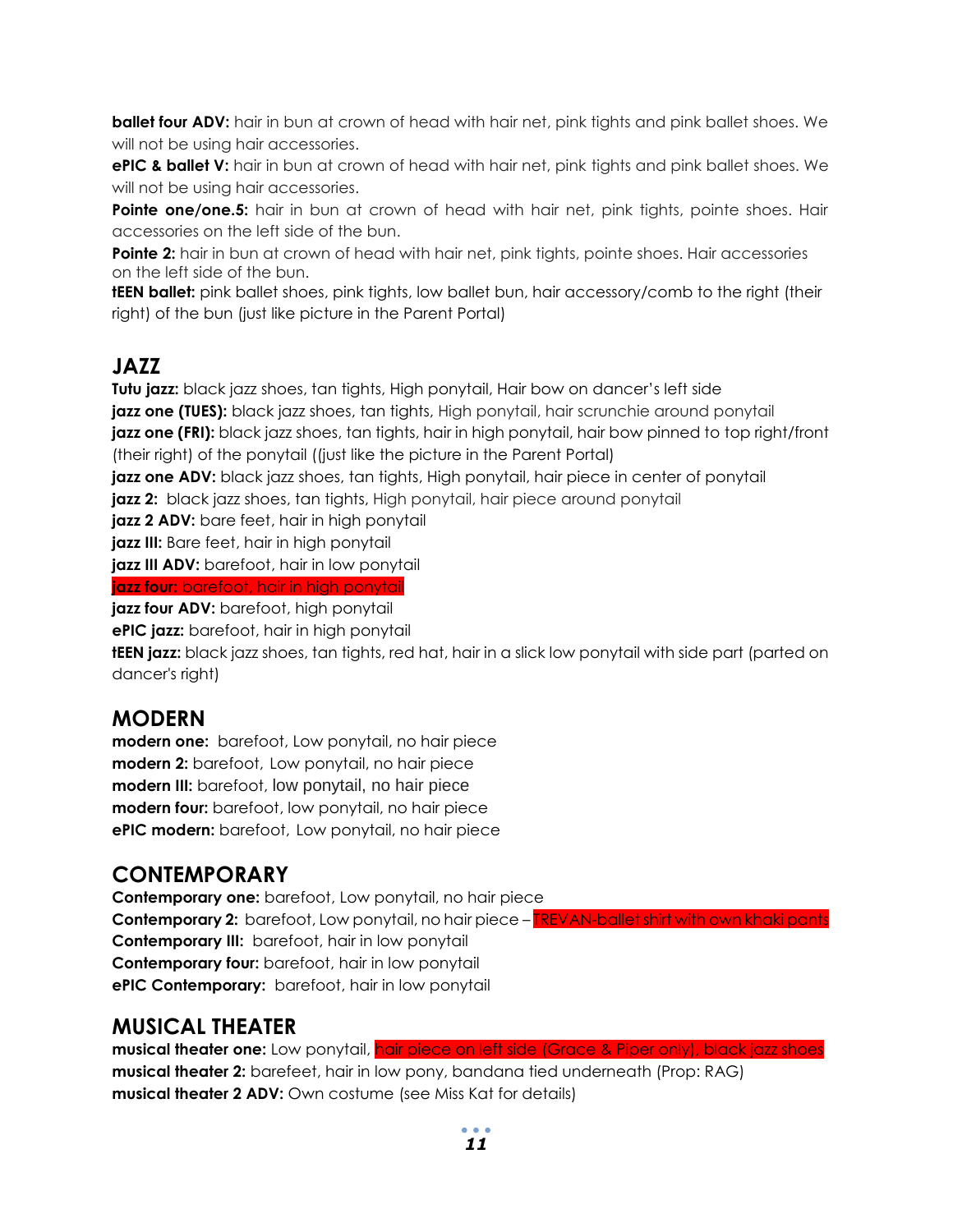**ballet four ADV:** hair in bun at crown of head with hair net, pink tights and pink ballet shoes. We will not be using hair accessories.

**ePIC & ballet V:** hair in bun at crown of head with hair net, pink tights and pink ballet shoes. We will not be using hair accessories.

Pointe one/one.5: hair in bun at crown of head with hair net, pink tights, pointe shoes. Hair accessories on the left side of the bun.

**Pointe 2:** hair in bun at crown of head with hair net, pink tights, pointe shoes. Hair accessories on the left side of the bun.

**tEEN ballet:** pink ballet shoes, pink tights, low ballet bun, hair accessory/comb to the right (their right) of the bun (just like picture in the Parent Portal)

### **JAZZ**

**Tutu jazz:** black jazz shoes, tan tights, High ponytail, Hair bow on dancer's left side **jazz one (TUES):** black jazz shoes, tan tights, High ponytail, hair scrunchie around ponytail **jazz one (FRI):** black jazz shoes, tan tights, hair in high ponytail, hair bow pinned to top right/front (their right) of the ponytail ((just like the picture in the Parent Portal)

**jazz one ADV:** black jazz shoes, tan tights, High ponytail, hair piece in center of ponytail

**jazz 2:** black jazz shoes, tan tights, High ponytail, hair piece around ponytail

jazz 2 ADV: bare feet, hair in high ponytail

**jazz III:** Bare feet, hair in high ponytail

**jazz III ADV:** barefoot, hair in low ponytail

**jazz four:** barefoot, hair in high ponytail

**jazz four ADV:** barefoot, high ponytail

**ePIC jazz:** barefoot, hair in high ponytail

**tEEN jazz:** black jazz shoes, tan tights, red hat, hair in a slick low ponytail with side part (parted on dancer's right)

#### **MODERN**

**modern one:** barefoot, Low ponytail, no hair piece **modern 2:** barefoot, Low ponytail, no hair piece **modern III:** barefoot, low ponytail, no hair piece **modern four:** barefoot, low ponytail, no hair piece **ePIC modern:** barefoot, Low ponytail, no hair piece

### **CONTEMPORARY**

**Contemporary one:** barefoot, Low ponytail, no hair piece **Contemporary 2:** barefoot, Low ponytail, no hair piece – TREVAN-ballet shirt with own khaki pants **Contemporary III:** barefoot, hair in low ponytail **Contemporary four:** barefoot, hair in low ponytail **ePIC Contemporary:** barefoot, hair in low ponytail

#### **MUSICAL THEATER**

**musical theater one:** Low ponytail, hair piece on left side (Grace & Piper only), black jazz shoes **musical theater 2:** barefeet, hair in low pony, bandana tied underneath (Prop: RAG) **musical theater 2 ADV:** Own costume (see Miss Kat for details)

> $\bullet$   $\bullet$   $\bullet$ *11*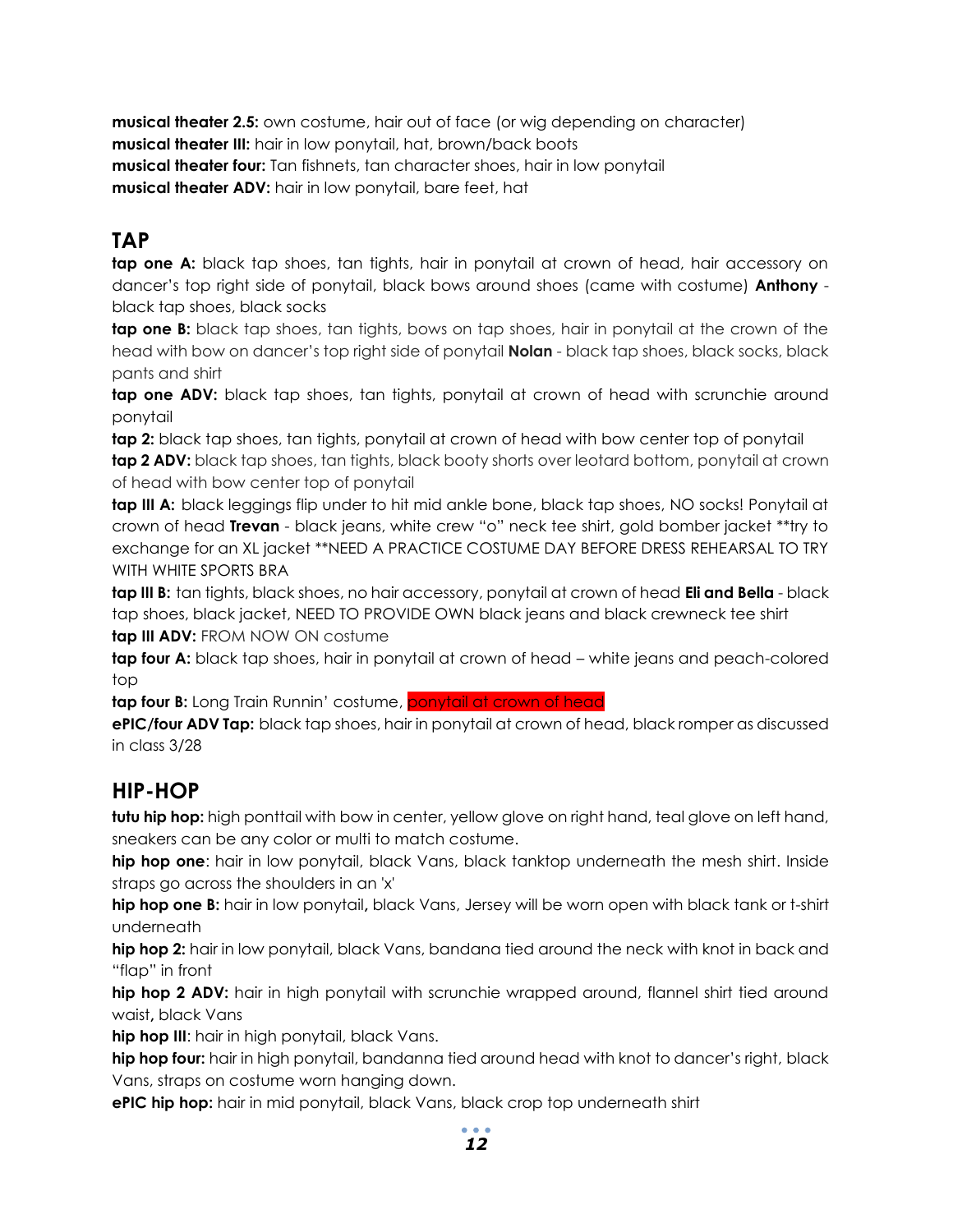**musical theater 2.5:** own costume, hair out of face (or wig depending on character) **musical theater III:** hair in low ponytail, hat, brown/back boots **musical theater four:** Tan fishnets, tan character shoes, hair in low ponytail **musical theater ADV:** hair in low ponytail, bare feet, hat

### **TAP**

**tap one A:** black tap shoes, tan tights, hair in ponytail at crown of head, hair accessory on dancer's top right side of ponytail, black bows around shoes (came with costume) **Anthony** black tap shoes, black socks

**tap one B:** black tap shoes, tan tights, bows on tap shoes, hair in ponytail at the crown of the head with bow on dancer's top right side of ponytail **Nolan** - black tap shoes, black socks, black pants and shirt

**tap one ADV:** black tap shoes, tan tights, ponytail at crown of head with scrunchie around ponytail

**tap 2:** black tap shoes, tan tights, ponytail at crown of head with bow center top of ponytail **tap 2 ADV:** black tap shoes, tan tights, black booty shorts over leotard bottom, ponytail at crown of head with bow center top of ponytail

**tap III A:** black leggings flip under to hit mid ankle bone, black tap shoes, NO socks! Ponytail at crown of head **Trevan** - black jeans, white crew "o" neck tee shirt, gold bomber jacket \*\*try to exchange for an XL jacket \*\*NEED A PRACTICE COSTUME DAY BEFORE DRESS REHEARSAL TO TRY WITH WHITE SPORTS BRA

**tap III B:** tan tights, black shoes, no hair accessory, ponytail at crown of head **Eli and Bella** - black tap shoes, black jacket, NEED TO PROVIDE OWN black jeans and black crewneck tee shirt **tap III ADV:** FROM NOW ON costume

**tap four A:** black tap shoes, hair in ponytail at crown of head – white jeans and peach-colored top

**tap four B:** Long Train Runnin' costume, ponytail at crown of head

**ePIC/four ADV Tap:** black tap shoes, hair in ponytail at crown of head, black romper as discussed in class 3/28

#### **HIP-HOP**

**tutu hip hop:** high ponttail with bow in center, yellow glove on right hand, teal glove on left hand, sneakers can be any color or multi to match costume.

**hip hop one**: hair in low ponytail, black Vans, black tanktop underneath the mesh shirt. Inside straps go across the shoulders in an 'x'

**hip hop one B:** hair in low ponytail**,** black Vans, Jersey will be worn open with black tank or t-shirt underneath

**hip hop 2:** hair in low ponytail, black Vans, bandana tied around the neck with knot in back and "flap" in front

**hip hop 2 ADV:** hair in high ponytail with scrunchie wrapped around, flannel shirt tied around waist**,** black Vans

**hip hop III**: hair in high ponytail, black Vans.

**hip hop four:** hair in high ponytail, bandanna tied around head with knot to dancer's right, black Vans, straps on costume worn hanging down.

**ePIC hip hop:** hair in mid ponytail, black Vans, black crop top underneath shirt

*12*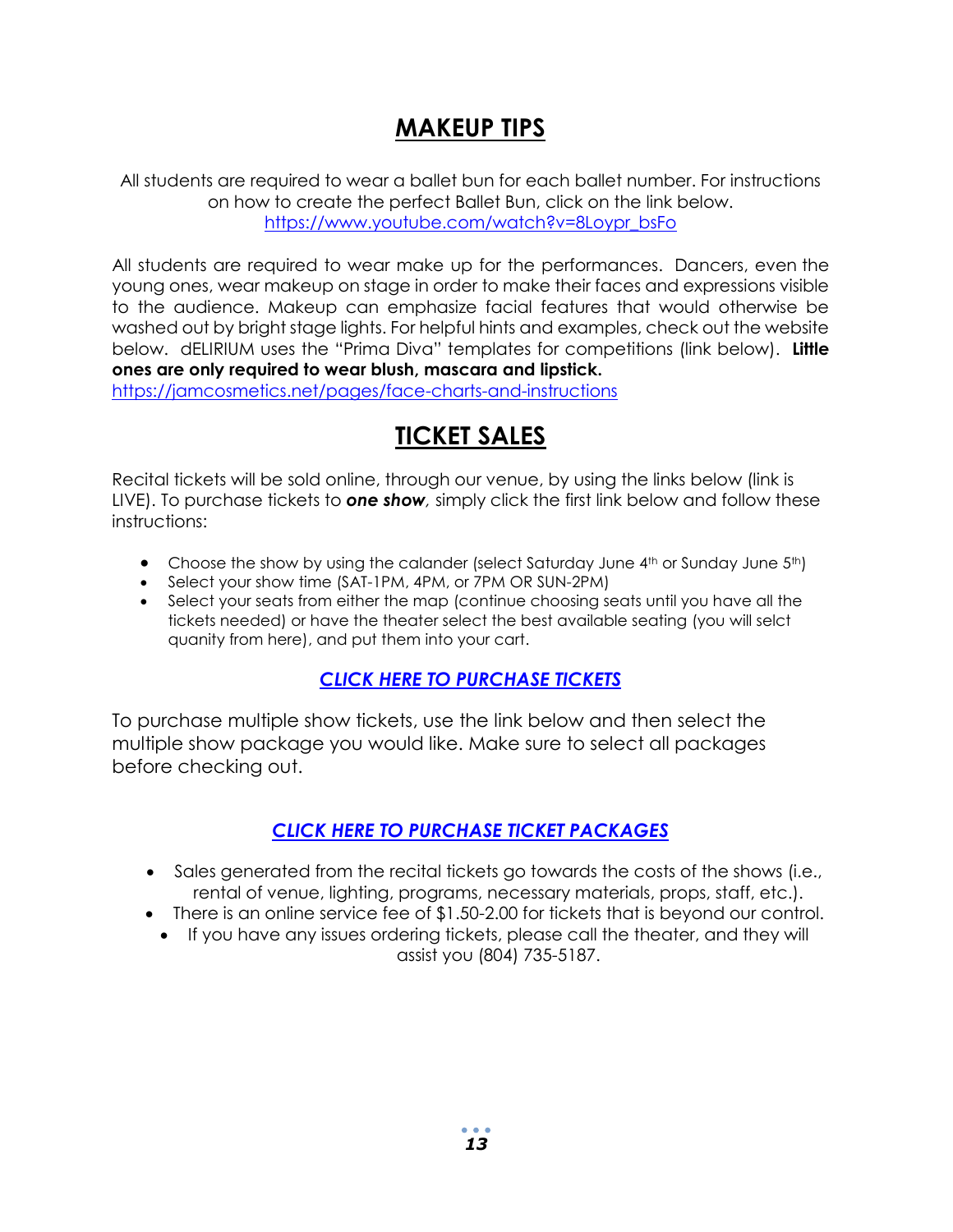### **MAKEUP TIPS**

All students are required to wear a ballet bun for each ballet number. For instructions on how to create the perfect Ballet Bun, click on the link below. [https://www.youtube.com/watch?v=8Loypr\\_bsFo](https://www.youtube.com/watch?v=8Loypr_bsFo)

All students are required to wear make up for the performances. Dancers, even the young ones, wear makeup on stage in order to make their faces and expressions visible to the audience. Makeup can emphasize facial features that would otherwise be washed out by bright stage lights. For helpful hints and examples, check out the website below. dELIRIUM uses the "Prima Diva" templates for competitions (link below). **Little ones are only required to wear blush, mascara and lipstick.**

<https://jamcosmetics.net/pages/face-charts-and-instructions>

### **TICKET SALES**

Recital tickets will be sold online, through our venue, by using the links below (link is LIVE). To purchase tickets to *one show,* simply click the first link below and follow these instructions:

- Choose the show by using the calander (select Saturday June 4<sup>th</sup> or Sunday June 5<sup>th</sup>)
- Select your show time (SAT-1PM, 4PM, or 7PM OR SUN-2PM)
- Select your seats from either the map (continue choosing seats until you have all the tickets needed) or have the theater select the best available seating (you will selct quanity from here), and put them into your cart.

#### *[CLICK HERE TO PURCHASE TICKETS](https://ci.ovationtix.com/35619/production/1106046)*

To purchase multiple show tickets, use the link below and then select the multiple show package you would like. Make sure to select all packages before checking out.

#### *[CLICK HERE TO PURCHASE TICKET PACKAGES](https://ci.ovationtix.com/35619/store/packages)*

- Sales generated from the recital tickets go towards the costs of the shows (i.e., rental of venue, lighting, programs, necessary materials, props, staff, etc.).
- There is an online service fee of \$1.50-2.00 for tickets that is beyond our control.
	- If you have any issues ordering tickets, please call the theater, and they will assist you (804) 735-5187.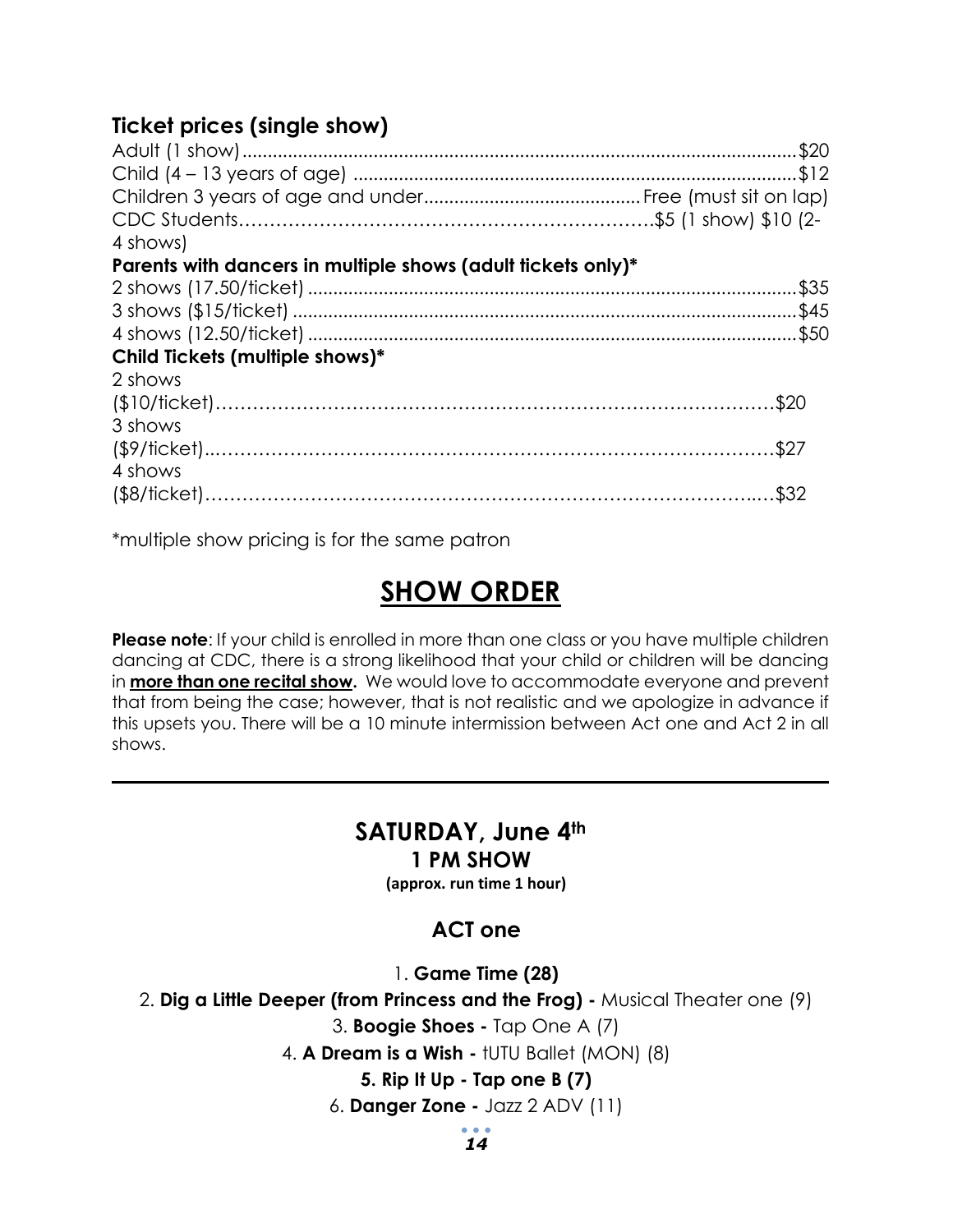#### **Ticket prices (single show)**

| 4 shows)                                                     |  |
|--------------------------------------------------------------|--|
| Parents with dancers in multiple shows (adult tickets only)* |  |
|                                                              |  |
|                                                              |  |
|                                                              |  |
| Child Tickets (multiple shows)*                              |  |
| 2 shows                                                      |  |
|                                                              |  |
| 3 shows                                                      |  |
|                                                              |  |
| 4 shows                                                      |  |
|                                                              |  |

\*multiple show pricing is for the same patron

### **SHOW ORDER**

**Please note**: If your child is enrolled in more than one class or you have multiple children dancing at CDC, there is a strong likelihood that your child or children will be dancing in **more than one recital show.** We would love to accommodate everyone and prevent that from being the case; however, that is not realistic and we apologize in advance if this upsets you. There will be a 10 minute intermission between Act one and Act 2 in all shows.

### **SATURDAY, June 4th 1 PM SHOW**

**(approx. run time 1 hour)**

#### **ACT one**

1. **Game Time (28)**

2. **Dig a Little Deeper (from Princess and the Frog) -** Musical Theater one (9)

3. **Boogie Shoes -** Tap One A (7)

4. **A Dream is a Wish -** tUTU Ballet (MON) (8)

**5. Rip It Up - Tap one B (7)**

6. **Danger Zone -** Jazz 2 ADV (11)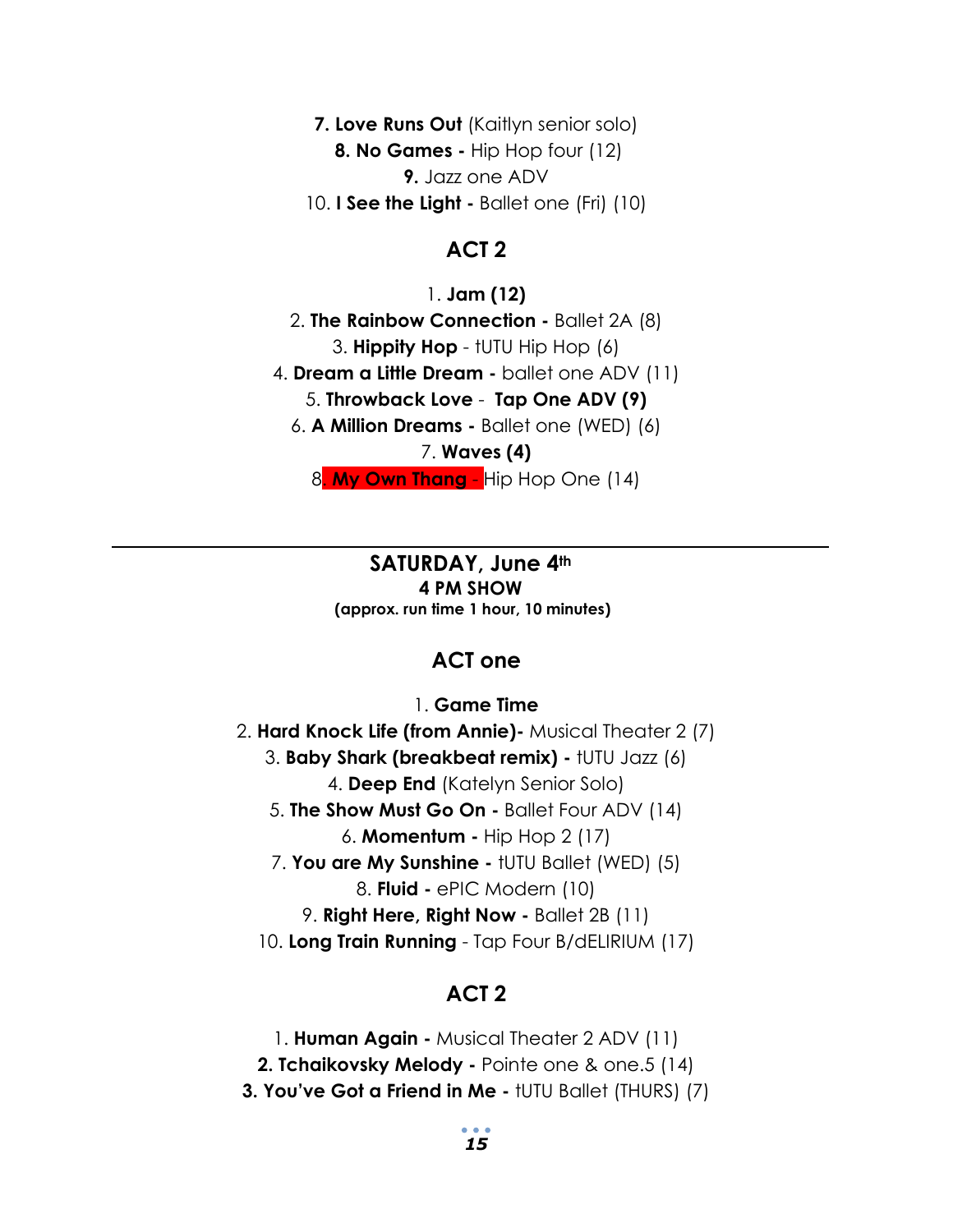**7. Love Runs Out** (Kaitlyn senior solo) **8. No Games -** Hip Hop four (12) **9.** Jazz one ADV 10. **I See the Light -** Ballet one (Fri) (10)

#### **ACT 2**

1. **Jam (12)** 2. **The Rainbow Connection -** Ballet 2A (8) 3. **Hippity Hop** - tUTU Hip Hop (6) 4. **Dream a Little Dream -** ballet one ADV (11) 5. **Throwback Love** - **Tap One ADV (9)** 6. **A Million Dreams -** Ballet one (WED) (6) 7. **Waves (4)** 8. **My Own Thang** - Hip Hop One (14)

> **SATURDAY, June 4th 4 PM SHOW (approx. run time 1 hour, 10 minutes)**

#### **ACT one**

1. **Game Time**

2. **Hard Knock Life (from Annie)-** Musical Theater 2 (7)

3. **Baby Shark (breakbeat remix) -** tUTU Jazz (6)

4. **Deep End** (Katelyn Senior Solo)

5. **The Show Must Go On -** Ballet Four ADV (14)

6. **Momentum -** Hip Hop 2 (17)

7. **You are My Sunshine -** tUTU Ballet (WED) (5)

8. **Fluid -** ePIC Modern (10)

9. **Right Here, Right Now -** Ballet 2B (11)

10. **Long Train Running** - Tap Four B/dELIRIUM (17)

#### **ACT 2**

1. **Human Again -** Musical Theater 2 ADV (11) **2. Tchaikovsky Melody -** Pointe one & one.5 (14) **3. You've Got a Friend in Me -** tUTU Ballet (THURS) (7)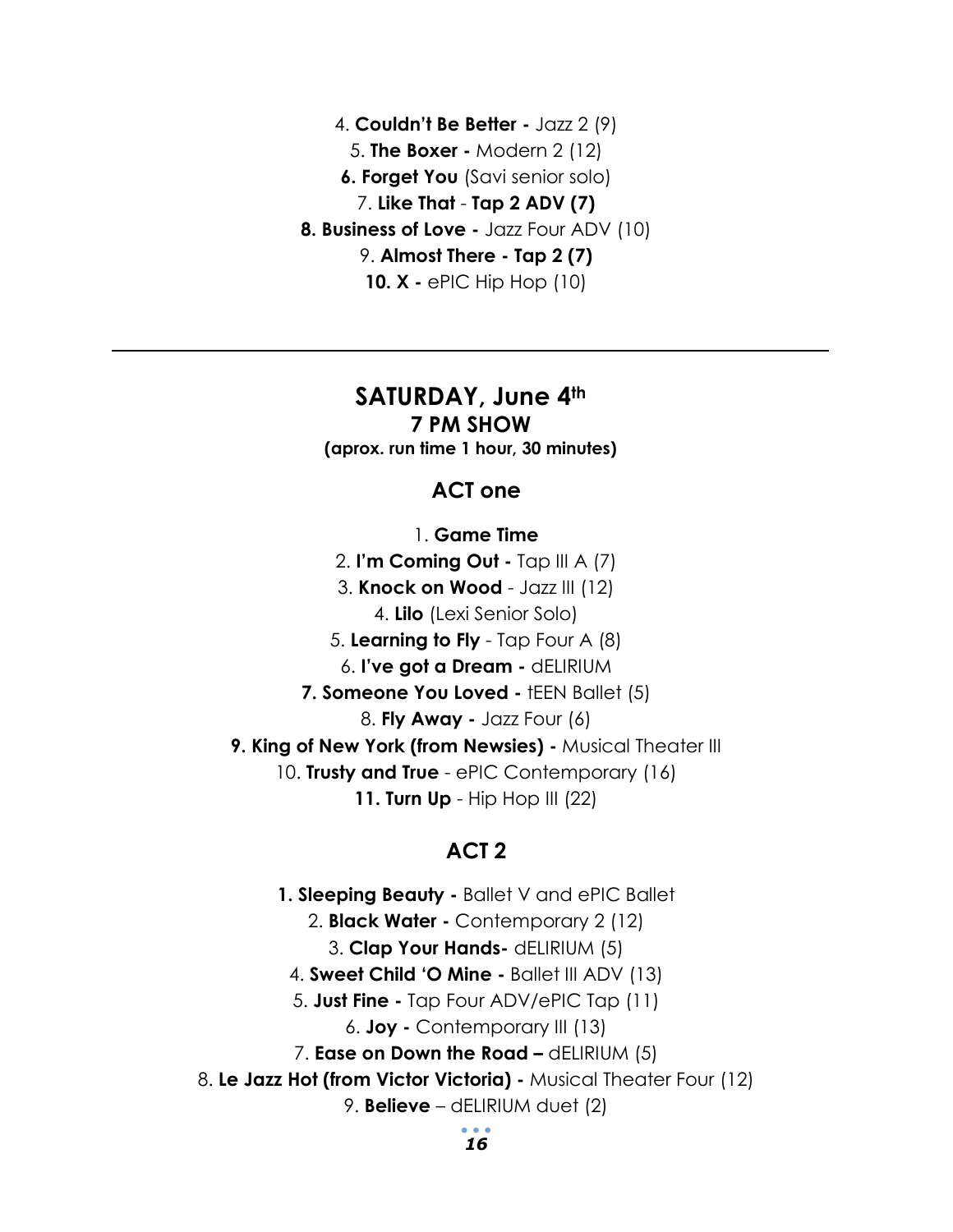4. **Couldn't Be Better -** Jazz 2 (9) 5. **The Boxer -** Modern 2 (12) **6. Forget You** (Savi senior solo) 7. **Like That** - **Tap 2 ADV (7) 8. Business of Love -** Jazz Four ADV (10) 9. **Almost There - Tap 2 (7) 10. X -** ePIC Hip Hop (10)

### **SATURDAY, June 4th**

**7 PM SHOW (aprox. run time 1 hour, 30 minutes)**

#### **ACT one**

1. **Game Time** 2. **I'm Coming Out -** Tap III A (7) 3. **Knock on Wood** - Jazz III (12) 4. **Lilo** (Lexi Senior Solo) 5. **Learning to Fly** - Tap Four A (8) 6. **I've got a Dream -** dELIRIUM **7. Someone You Loved -** tEEN Ballet (5) 8. **Fly Away -** Jazz Four (6) **9. King of New York (from Newsies) -** Musical Theater III 10. **Trusty and True** - ePIC Contemporary (16) **11. Turn Up** - Hip Hop III (22)

#### **ACT 2**

**1. Sleeping Beauty -** Ballet V and ePIC Ballet 2. **Black Water -** Contemporary 2 (12) 3. **Clap Your Hands-** dELIRIUM (5) 4. **Sweet Child 'O Mine -** Ballet III ADV (13) 5. **Just Fine -** Tap Four ADV/ePIC Tap (11) 6. **Joy -** Contemporary III (13) 7. **Ease on Down the Road –** dELIRIUM (5) 8. **Le Jazz Hot (from Victor Victoria) -** Musical Theater Four (12) 9. **Believe** – dELIRIUM duet (2) $\bullet$   $\bullet$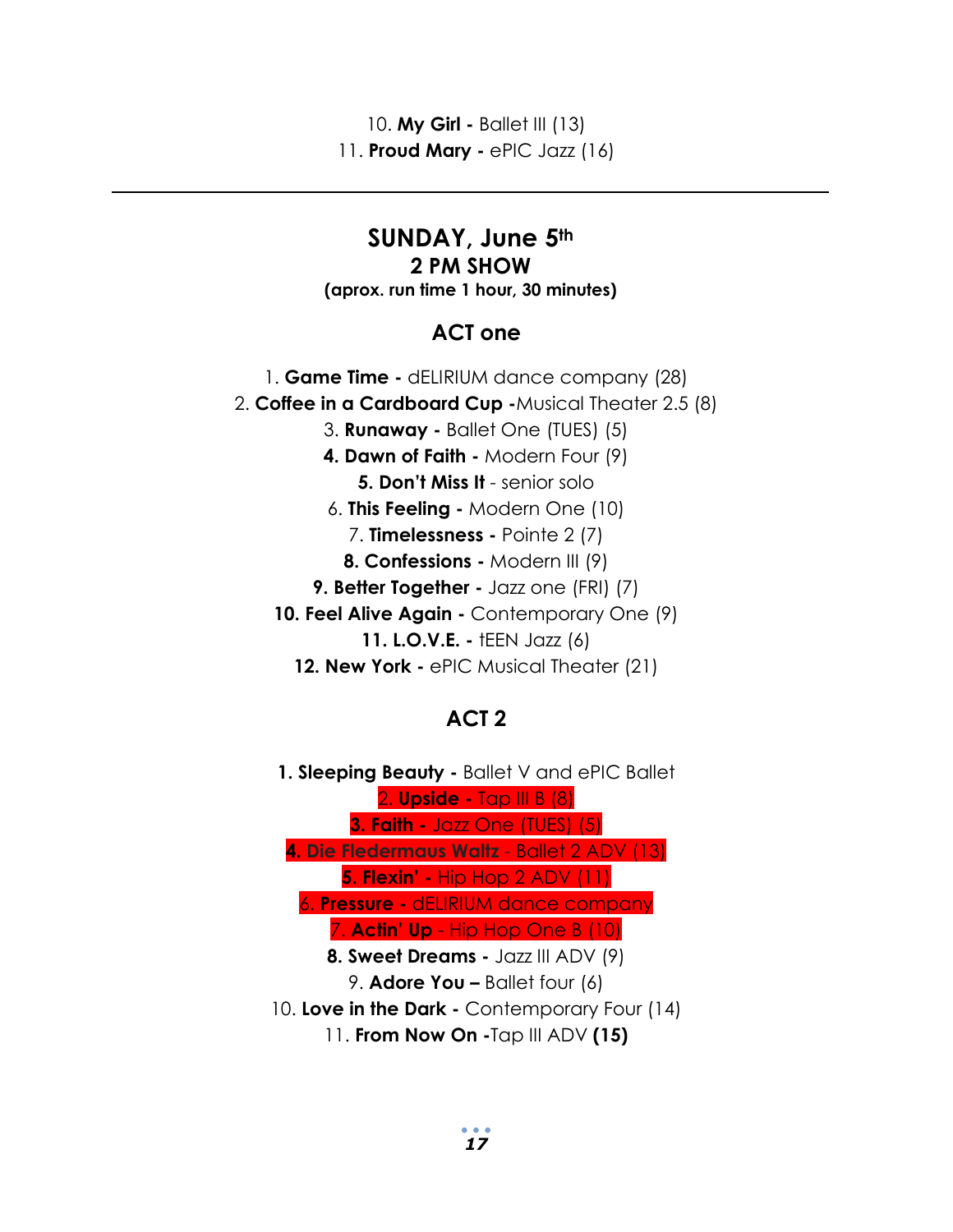10. **My Girl -** Ballet III (13) 11. **Proud Mary -** ePIC Jazz (16)

#### **SUNDAY, June 5th 2 PM SHOW (aprox. run time 1 hour, 30 minutes)**

#### **ACT one**

1. **Game Time -** dELIRIUM dance company (28) 2. **Coffee in a Cardboard Cup -**Musical Theater 2.5 (8) 3. **Runaway -** Ballet One (TUES) (5) **4. Dawn of Faith -** Modern Four (9) **5. Don't Miss It** - senior solo 6. **This Feeling -** Modern One (10) 7. **Timelessness -** Pointe 2 (7) **8. Confessions -** Modern III (9) **9. Better Together -** Jazz one (FRI) (7) **10. Feel Alive Again -** Contemporary One (9) **11. L.O.V.E. -** tEEN Jazz (6) **12. New York -** ePIC Musical Theater (21)

#### **ACT 2**

**1. Sleeping Beauty -** Ballet V and ePIC Ballet 2. **Upside -** Tap III B (8) **3. Faith -** Jazz One (TUES) (5) **4. Die Fledermaus Waltz** - Ballet 2 ADV (13) **5. Flexin' -** Hip Hop 2 ADV (11) 6. **Pressure -** dELIRIUM dance company 7. **Actin' Up** - Hip Hop One B (10) **8. Sweet Dreams -** Jazz III ADV (9) 9. **Adore You –** Ballet four (6) 10. **Love in the Dark -** Contemporary Four (14)

11. **From Now On -**Tap III ADV **(15)**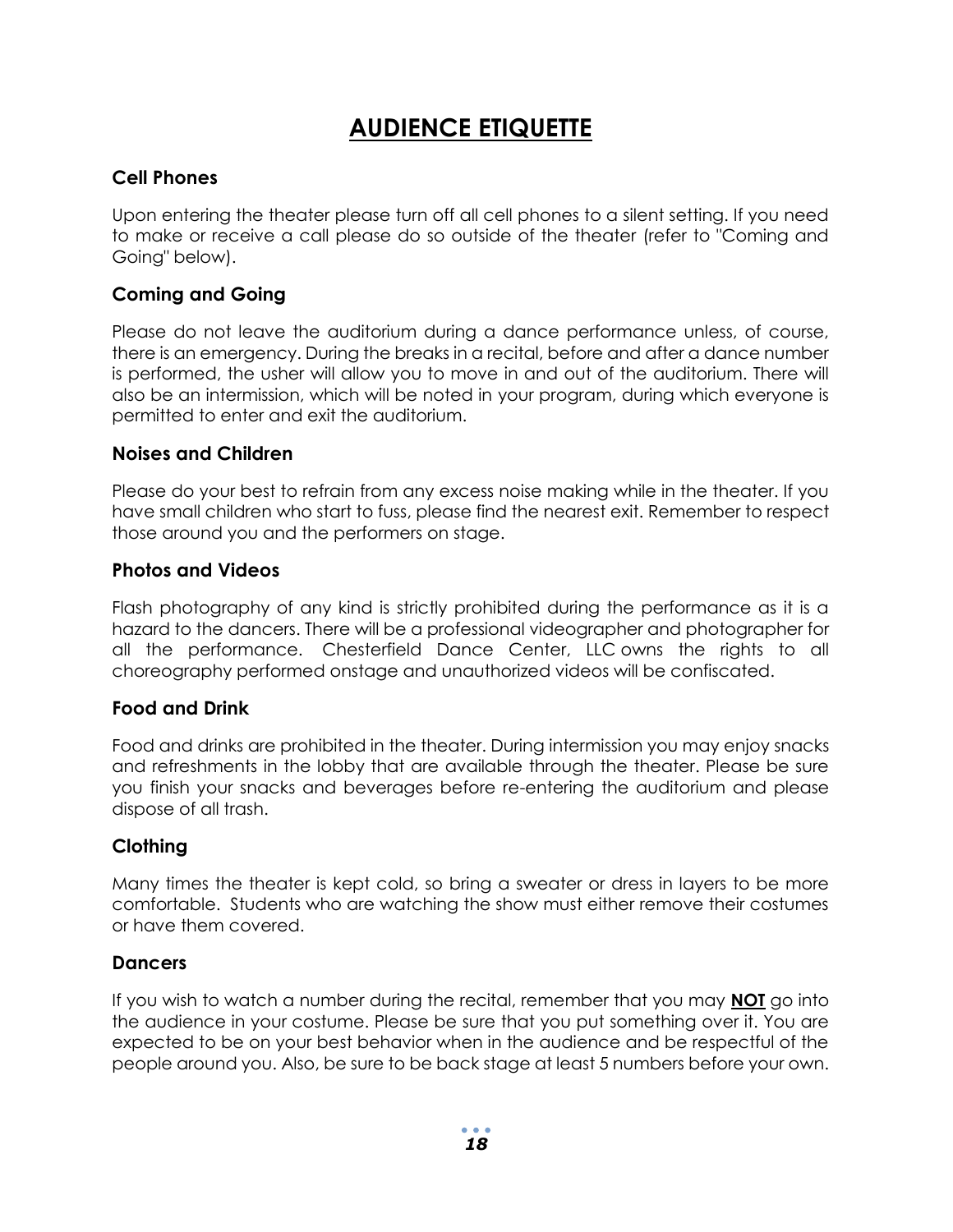### **AUDIENCE ETIQUETTE**

#### **Cell Phones**

Upon entering the theater please turn off all cell phones to a silent setting. If you need to make or receive a call please do so outside of the theater (refer to "Coming and Going" below).

#### **Coming and Going**

Please do not leave the auditorium during a dance performance unless, of course, there is an emergency. During the breaks in a recital, before and after a dance number is performed, the usher will allow you to move in and out of the auditorium. There will also be an intermission, which will be noted in your program, during which everyone is permitted to enter and exit the auditorium.

#### **Noises and Children**

Please do your best to refrain from any excess noise making while in the theater. If you have small children who start to fuss, please find the nearest exit. Remember to respect those around you and the performers on stage.

#### **Photos and Videos**

Flash photography of any kind is strictly prohibited during the performance as it is a hazard to the dancers. There will be a professional videographer and photographer for all the performance. Chesterfield Dance Center, LLC owns the rights to all choreography performed onstage and unauthorized videos will be confiscated.

#### **Food and Drink**

Food and drinks are prohibited in the theater. During intermission you may enjoy snacks and refreshments in the lobby that are available through the theater. Please be sure you finish your snacks and beverages before re-entering the auditorium and please dispose of all trash.

#### **Clothing**

Many times the theater is kept cold, so bring a sweater or dress in layers to be more comfortable. Students who are watching the show must either remove their costumes or have them covered.

#### **Dancers**

If you wish to watch a number during the recital, remember that you may **NOT** go into the audience in your costume. Please be sure that you put something over it. You are expected to be on your best behavior when in the audience and be respectful of the people around you. Also, be sure to be back stage at least 5 numbers before your own.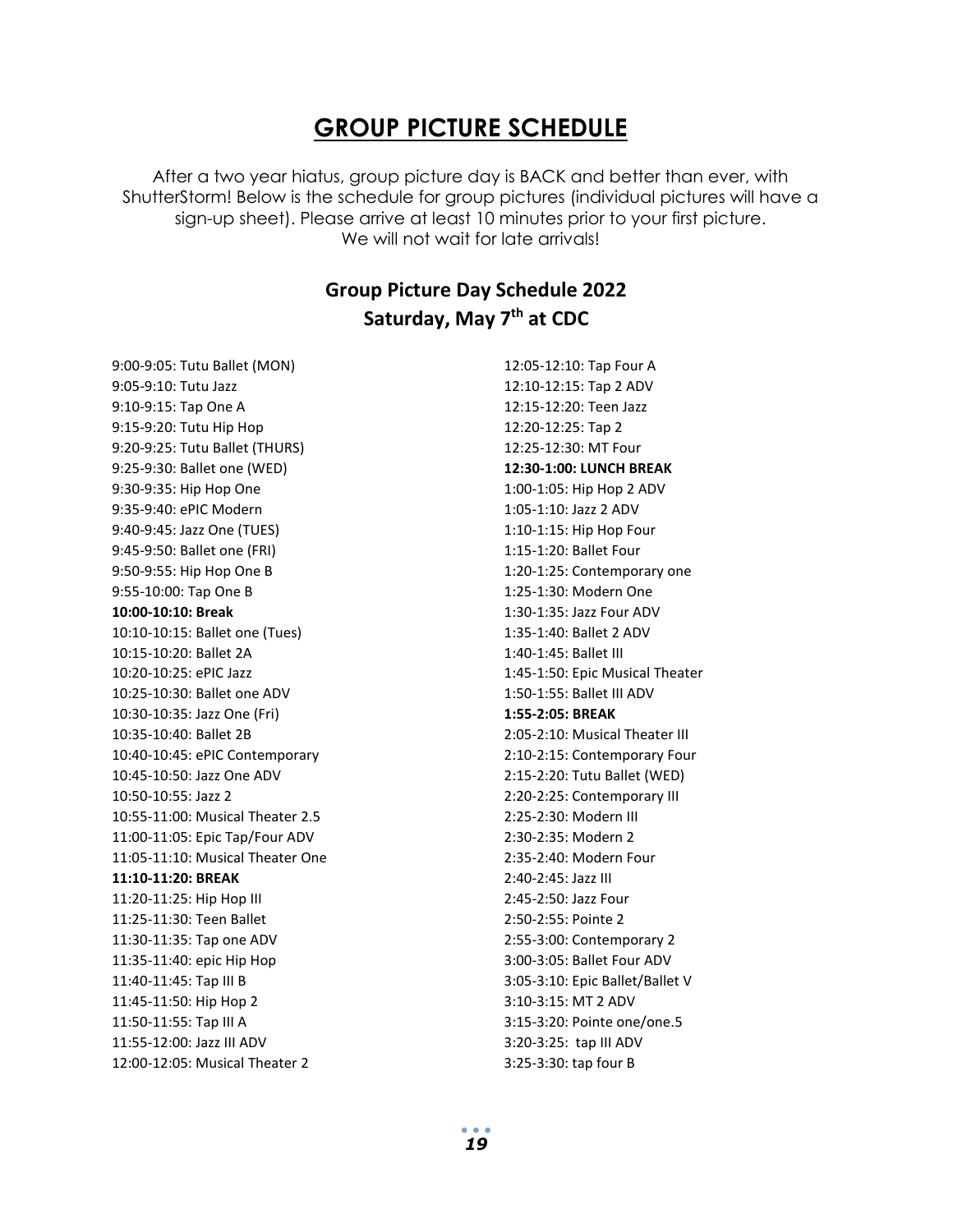#### **GROUP PICTURE SCHEDULE**

After a two year hiatus, group picture day is BACK and better than ever, with ShutterStorm! Below is the schedule for group pictures (individual pictures will have a sign-up sheet). Please arrive at least 10 minutes prior to your first picture. We will not wait for late arrivals!

#### **Group Picture Day Schedule 2022 Saturday, May 7 th at CDC**

9:00-9:05: Tutu Ballet (MON) 9:05-9:10: Tutu Jazz 9:10-9:15: Tap One A 9:15-9:20: Tutu Hip Hop 9:20-9:25: Tutu Ballet (THURS) 9:25-9:30: Ballet one (WED) 9:30-9:35: Hip Hop One 9:35-9:40: ePIC Modern 9:40-9:45: Jazz One (TUES) 9:45-9:50: Ballet one (FRI) 9:50-9:55: Hip Hop One B 9:55-10:00: Tap One B **10:00-10:10: Break** 10:10-10:15: Ballet one (Tues) 10:15-10:20: Ballet 2A 10:20-10:25: ePIC Jazz 10:25-10:30: Ballet one ADV 10:30-10:35: Jazz One (Fri) 10:35-10:40: Ballet 2B 10:40-10:45: ePIC Contemporary 10:45-10:50: Jazz One ADV 10:50-10:55: Jazz 2 10:55-11:00: Musical Theater 2.5 11:00-11:05: Epic Tap/Four ADV 11:05-11:10: Musical Theater One **11:10-11:20: BREAK** 11:20-11:25: Hip Hop III 11:25-11:30: Teen Ballet 11:30-11:35: Tap one ADV 11:35-11:40: epic Hip Hop 11:40-11:45: Tap III B 11:45-11:50: Hip Hop 2 11:50-11:55: Tap III A 11:55-12:00: Jazz III ADV 12:00-12:05: Musical Theater 2

12:05-12:10: Tap Four A 12:10-12:15: Tap 2 ADV 12:15-12:20: Teen Jazz 12:20-12:25: Tap 2 12:25-12:30: MT Four **12:30-1:00: LUNCH BREAK** 1:00-1:05: Hip Hop 2 ADV 1:05-1:10: Jazz 2 ADV 1:10-1:15: Hip Hop Four 1:15-1:20: Ballet Four 1:20-1:25: Contemporary one 1:25-1:30: Modern One 1:30-1:35: Jazz Four ADV 1:35-1:40: Ballet 2 ADV 1:40-1:45: Ballet III 1:45-1:50: Epic Musical Theater 1:50-1:55: Ballet III ADV **1:55-2:05: BREAK** 2:05-2:10: Musical Theater III 2:10-2:15: Contemporary Four 2:15-2:20: Tutu Ballet (WED) 2:20-2:25: Contemporary III 2:25-2:30: Modern III 2:30-2:35: Modern 2 2:35-2:40: Modern Four 2:40-2:45: Jazz III 2:45-2:50: Jazz Four 2:50-2:55: Pointe 2 2:55-3:00: Contemporary 2 3:00-3:05: Ballet Four ADV 3:05-3:10: Epic Ballet/Ballet V 3:10-3:15: MT 2 ADV 3:15-3:20: Pointe one/one.5 3:20-3:25: tap III ADV 3:25-3:30: tap four B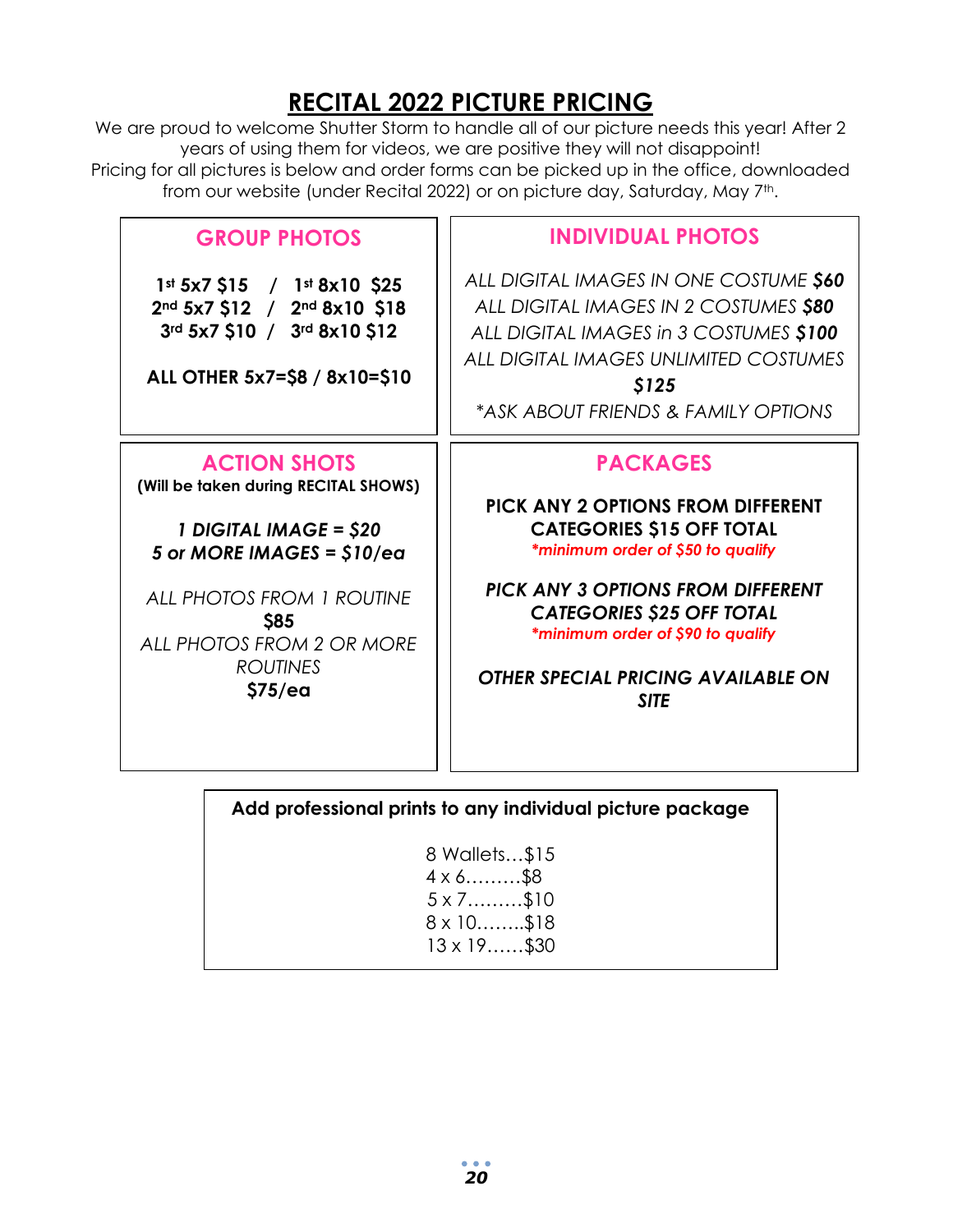### **RECITAL 2022 PICTURE PRICING**

We are proud to welcome Shutter Storm to handle all of our picture needs this year! After 2 years of using them for videos, we are positive they will not disappoint! Pricing for all pictures is below and order forms can be picked up in the office, downloaded from our website (under Recital 2022) or on picture day, Saturday, May 7<sup>th</sup>.

#### **GROUP PHOTOS**

**1st 5x7 \$15 / 1st 8x10 \$25 2nd 5x7 \$12 / 2nd 8x10 \$18 3rd 5x7 \$10 / 3rd 8x10 \$12**

**ALL OTHER 5x7=\$8 / 8x10=\$10**

#### **ACTION SHOTS**

**(Will be taken during RECITAL SHOWS)**

#### *1 DIGITAL IMAGE = \$20 5 or MORE IMAGES = \$10/ea*

*ALL PHOTOS FROM 1 ROUTINE* **\$85** *ALL PHOTOS FROM 2 OR MORE ROUTINES*  **\$75/ea**

#### **INDIVIDUAL PHOTOS**

*ALL DIGITAL IMAGES IN ONE COSTUME \$60 ALL DIGITAL IMAGES IN 2 COSTUMES \$80 ALL DIGITAL IMAGES in 3 COSTUMES \$100 ALL DIGITAL IMAGES UNLIMITED COSTUMES \$125*

*\*ASK ABOUT FRIENDS & FAMILY OPTIONS*

#### **PACKAGES**

**PICK ANY 2 OPTIONS FROM DIFFERENT CATEGORIES \$15 OFF TOTAL** *\*minimum order of \$50 to qualify*

*PICK ANY 3 OPTIONS FROM DIFFERENT CATEGORIES \$25 OFF TOTAL \*minimum order of \$90 to qualify*

*OTHER SPECIAL PRICING AVAILABLE ON SITE*

**Add professional prints to any individual picture package**

8 Wallets…\$15 4 x 6………\$8 5 x 7………\$10 8 x 10……..\$18 13 x 19……\$30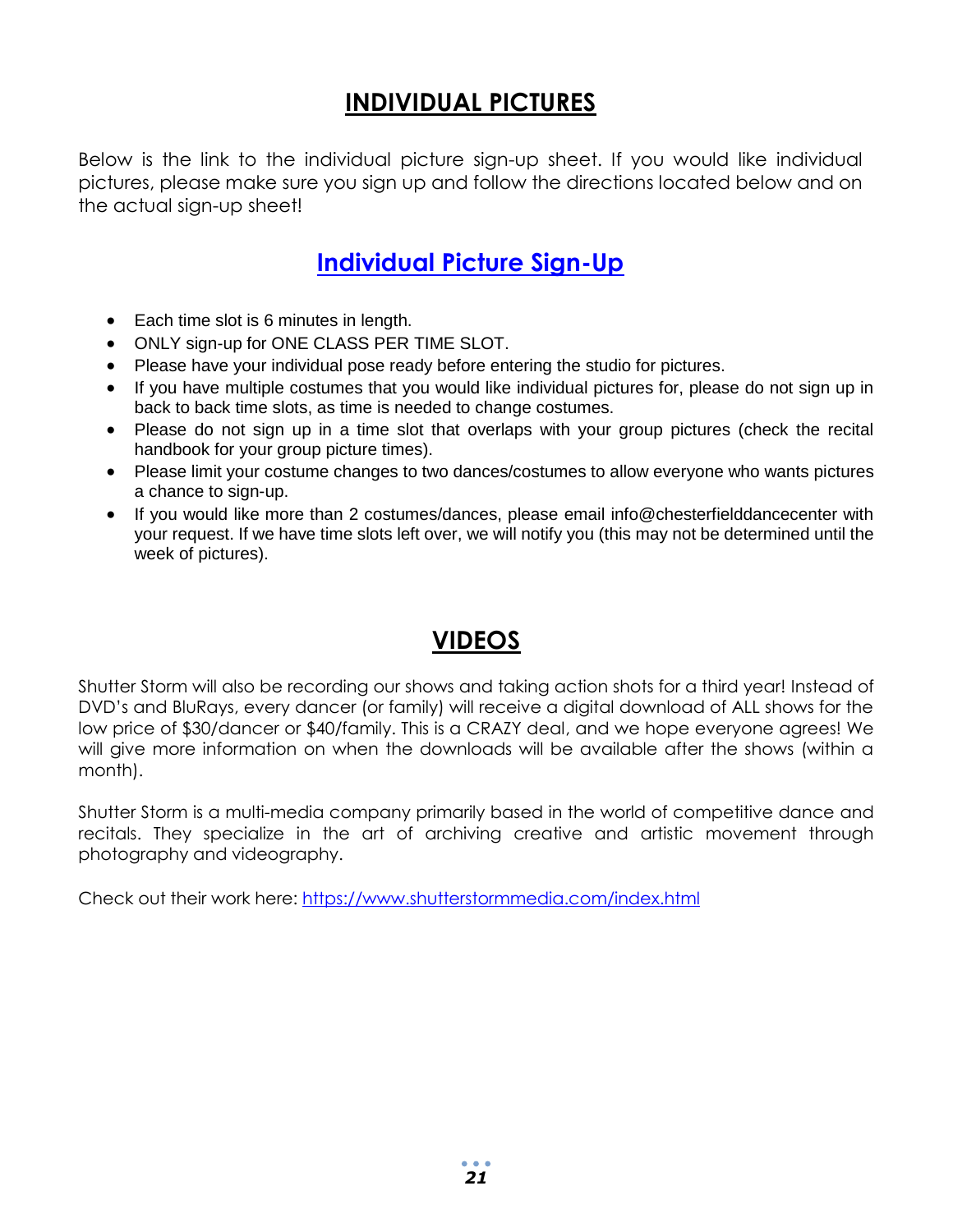### **INDIVIDUAL PICTURES**

Below is the link to the individual picture sign-up sheet. If you would like individual pictures, please make sure you sign up and follow the directions located below and on the actual sign-up sheet!

### **[Individual Picture Sign-Up](https://docs.google.com/document/d/1C1PON_YdccfXsV_RbHxp0bTgEcTiHuwQBXngdctSxgU/edit?usp=sharing)**

- Each time slot is 6 minutes in length.
- ONLY sign-up for ONE CLASS PER TIME SLOT.
- Please have your individual pose ready before entering the studio for pictures.
- If you have multiple costumes that you would like individual pictures for, please do not sign up in back to back time slots, as time is needed to change costumes.
- Please do not sign up in a time slot that overlaps with your group pictures (check the recital handbook for your group picture times).
- Please limit your costume changes to two dances/costumes to allow everyone who wants pictures a chance to sign-up.
- If you would like more than 2 costumes/dances, please email info@chesterfielddancecenter with your request. If we have time slots left over, we will notify you (this may not be determined until the week of pictures).

### **VIDEOS**

Shutter Storm will also be recording our shows and taking action shots for a third year! Instead of DVD's and BluRays, every dancer (or family) will receive a digital download of ALL shows for the low price of \$30/dancer or \$40/family. This is a CRAZY deal, and we hope everyone agrees! We will give more information on when the downloads will be available after the shows (within a month).

Shutter Storm is a multi-media company primarily based in the world of competitive dance and recitals. They specialize in the art of archiving creative and artistic movement through photography and videography.

Check out their work here:<https://www.shutterstormmedia.com/index.html>